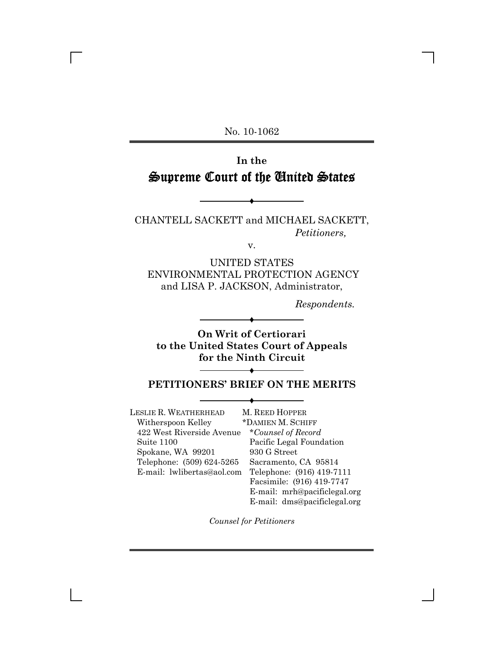No. 10-1062

# **In the** Supreme Court of the United States

CHANTELL SACKETT and MICHAEL SACKETT, *Petitioners,*

 $\blacklozenge$ 

v.

UNITED STATES ENVIRONMENTAL PROTECTION AGENCY and LISA P. JACKSON, Administrator,

*Respondents.*

**On Writ of Certiorari to the United States Court of Appeals for the Ninth Circuit**

 $\blacklozenge$ 

# $\blacklozenge$ **PETITIONERS' BRIEF ON THE MERITS** Ë

LESLIE R. WEATHERHEAD Witherspoon Kelley 422 West Riverside Avenue \**Counsel of Record* Suite 1100 Spokane, WA 99201 Telephone: (509) 624-5265 E-mail: lwlibertas@aol.com Telephone: (916) 419-7111 M. REED HOPPER

\*DAMIEN M. SCHIFF Pacific Legal Foundation 930 G Street Sacramento, CA 95814 Facsimile: (916) 419-7747 E-mail: mrh@pacificlegal.org E-mail: dms@pacificlegal.org

*Counsel for Petitioners*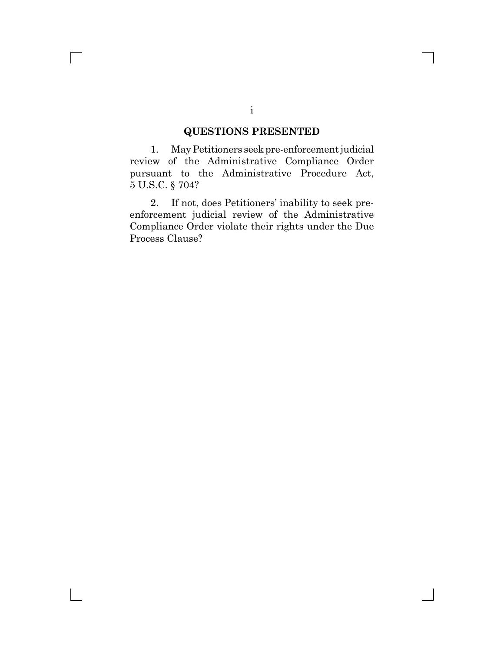# **QUESTIONS PRESENTED**

1. May Petitioners seek pre-enforcement judicial review of the Administrative Compliance Order pursuant to the Administrative Procedure Act, 5 U.S.C. § 704?

2. If not, does Petitioners' inability to seek preenforcement judicial review of the Administrative Compliance Order violate their rights under the Due Process Clause?

 $\Box$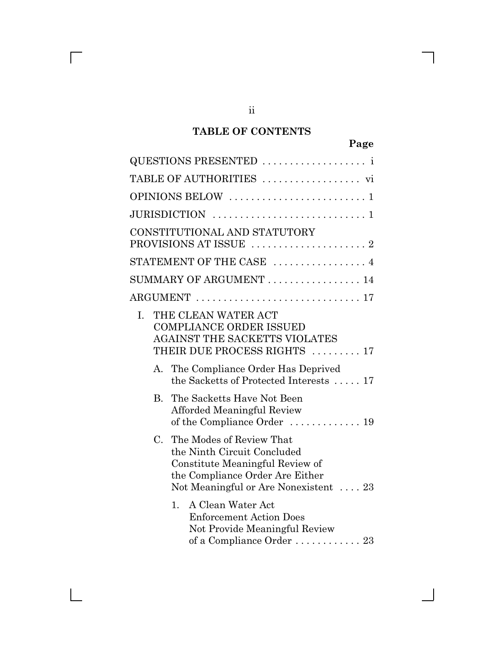# **TABLE OF CONTENTS**

ii

 $\overline{\Gamma}$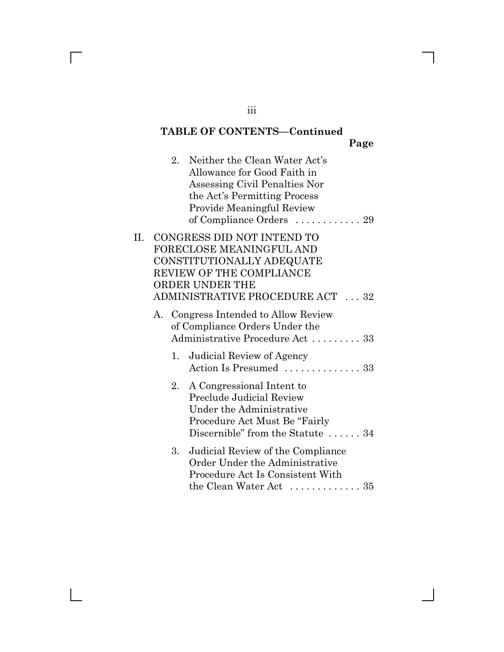# **TABLE OF CONTENTS—Continued**

**Page**

 $\mathsf{l}$ 

|    |    | 2. Neither the Clean Water Act's<br>Allowance for Good Faith in<br>Assessing Civil Penalties Nor<br>the Act's Permitting Process<br><b>Provide Meaningful Review</b><br>of Compliance Orders  29 |
|----|----|--------------------------------------------------------------------------------------------------------------------------------------------------------------------------------------------------|
| П. |    | CONGRESS DID NOT INTEND TO<br>FORECLOSE MEANINGFUL AND<br>CONSTITUTIONALLY ADEQUATE<br>REVIEW OF THE COMPLIANCE<br>ORDER UNDER THE<br>ADMINISTRATIVE PROCEDURE ACT  32                           |
|    |    | A. Congress Intended to Allow Review<br>of Compliance Orders Under the<br>Administrative Procedure Act  33                                                                                       |
|    | 1. | Judicial Review of Agency<br>Action Is Presumed  33                                                                                                                                              |
|    |    | 2. A Congressional Intent to<br>Preclude Judicial Review<br>Under the Administrative<br>Procedure Act Must Be "Fairly"<br>Discernible" from the Statute  34                                      |
|    | 3. | Judicial Review of the Compliance<br>Order Under the Administrative<br>Procedure Act Is Consistent With<br>the Clean Water Act $\dots\dots\dots\dots 35$                                         |

iii

 $\overline{\Gamma}$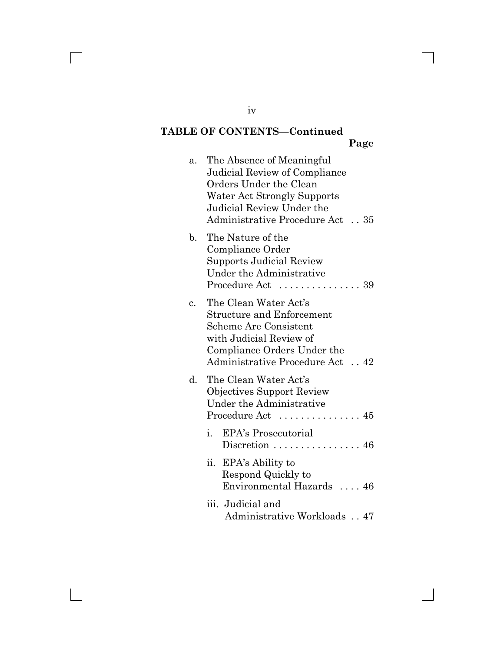# **TABLE OF CONTENTS—Continued**

|                |                                                                                                                                                                                        | Page |
|----------------|----------------------------------------------------------------------------------------------------------------------------------------------------------------------------------------|------|
| a.             | The Absence of Meaningful<br>Judicial Review of Compliance<br>Orders Under the Clean<br>Water Act Strongly Supports<br>Judicial Review Under the<br>Administrative Procedure Act35     |      |
| b.             | The Nature of the<br>Compliance Order<br><b>Supports Judicial Review</b><br>Under the Administrative<br>Procedure Act                                                                  | 39   |
| $\mathbf{c}$ . | The Clean Water Act's<br><b>Structure and Enforcement</b><br><b>Scheme Are Consistent</b><br>with Judicial Review of<br>Compliance Orders Under the<br>Administrative Procedure Act 42 |      |
| d.             | The Clean Water Act's<br><b>Objectives Support Review</b><br>Under the Administrative<br>Procedure Act  45                                                                             |      |
|                | EPA's Prosecutorial<br>$i$ .<br>Discretion $\dots \dots \dots \dots \dots 46$                                                                                                          |      |
|                | ii.<br>EPA's Ability to<br>Respond Quickly to<br>Environmental Hazards  46                                                                                                             |      |
|                | iii. Judicial and                                                                                                                                                                      |      |

Administrative Workloads . . 47

iv

 $\overline{\phantom{a}}$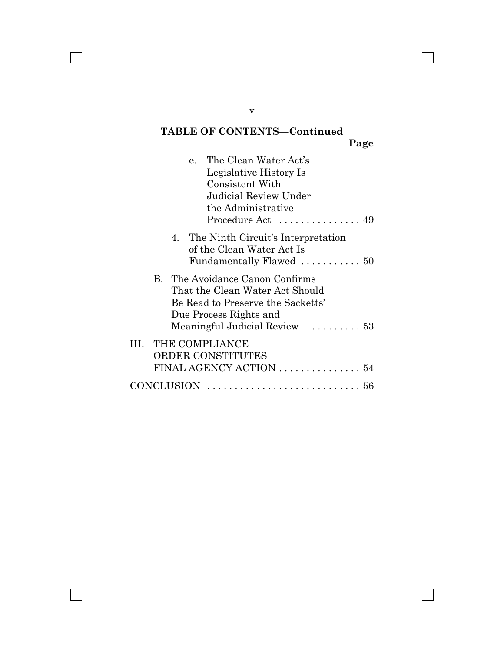# **TABLE OF CONTENTS—Continued**

**Page**

| e. The Clean Water Act's<br>Legislative History Is<br>Consistent With<br>Judicial Review Under<br>the Administrative<br>Procedure Act  49                                            |  |
|--------------------------------------------------------------------------------------------------------------------------------------------------------------------------------------|--|
| 4. The Ninth Circuit's Interpretation<br>of the Clean Water Act Is<br>Fundamentally Flawed  50                                                                                       |  |
| B. The Avoidance Canon Confirms<br>That the Clean Water Act Should<br>Be Read to Preserve the Sacketts'<br>Due Process Rights and<br>Meaningful Judicial Review $\dots\dots\dots 53$ |  |
| III. THE COMPLIANCE<br>ORDER CONSTITUTES<br>FINAL AGENCY ACTION  54                                                                                                                  |  |
| CONCLUSION                                                                                                                                                                           |  |

v

 $\overline{\Gamma}$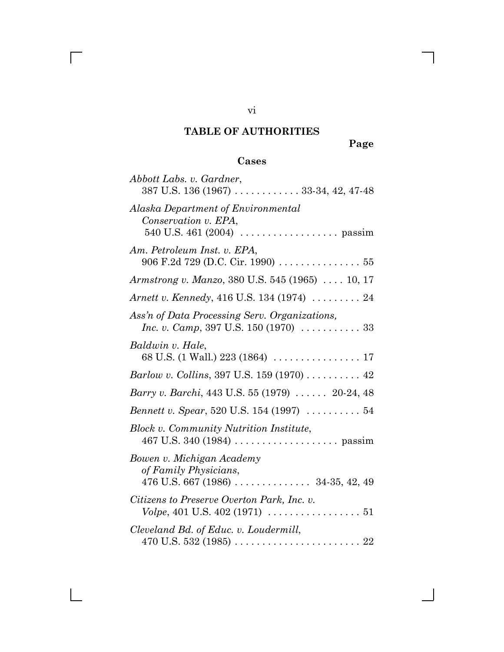# **TABLE OF AUTHORITIES**

**Page**

# **Cases**

| Abbott Labs. v. Gardner,<br>387 U.S. 136 (1967)  33-34, 42, 47-48                                                             |
|-------------------------------------------------------------------------------------------------------------------------------|
| Alaska Department of Environmental<br>Conservation v. EPA,<br>540 U.S. 461 (2004) $\ldots \ldots \ldots \ldots \ldots$ passim |
| Am. Petroleum Inst. v. EPA,<br>906 F.2d 729 (D.C. Cir. 1990) $\ldots \ldots \ldots \ldots 55$                                 |
| <i>Armstrong v. Manzo</i> , 380 U.S. 545 (1965)  10, 17                                                                       |
| <i>Arnett v. Kennedy, 416 U.S. 134 (1974)  24</i>                                                                             |
| Ass'n of Data Processing Serv. Organizations,<br><i>Inc. v. Camp</i> , 397 U.S. 150 (1970) $\ldots \ldots \ldots 33$          |
| Baldwin v. Hale,                                                                                                              |
| Barlow v. Collins, 397 U.S. 159 (1970) 42                                                                                     |
| Barry v. Barchi, 443 U.S. 55 (1979)  20-24, 48                                                                                |
| Bennett v. Spear, 520 U.S. 154 (1997)  54                                                                                     |
| <b>Block v. Community Nutrition Institute,</b>                                                                                |
| Bowen v. Michigan Academy<br>of Family Physicians,                                                                            |
| Citizens to Preserve Overton Park, Inc. v.                                                                                    |
| Cleveland Bd. of Educ. v. Loudermill,                                                                                         |

vi

 $\overline{\Gamma}$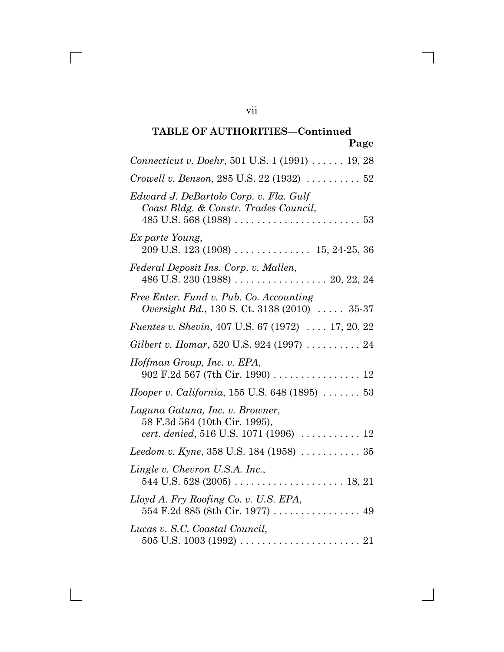| rage                                                                                                           |
|----------------------------------------------------------------------------------------------------------------|
| Connecticut v. Doehr, 501 U.S. 1 (1991)  19, 28                                                                |
| Crowell v. Benson, 285 U.S. 22 (1932) $\ldots \ldots \ldots 52$                                                |
| Edward J. DeBartolo Corp. v. Fla. Gulf<br>Coast Bldg. & Constr. Trades Council,<br>$485$ U.S. 568 (1988)<br>53 |
| Ex parte Young,                                                                                                |
| Federal Deposit Ins. Corp. v. Mallen,                                                                          |
| Free Enter. Fund v. Pub. Co. Accounting<br>Oversight Bd., 130 S. Ct. 3138 (2010)  35-37                        |
| <i>Fuentes v. Shevin, 407 U.S. 67 (1972)  17, 20, 22</i>                                                       |
| Gilbert v. Homar, 520 U.S. 924 (1997) $\ldots \ldots \ldots 24$                                                |
| Hoffman Group, Inc. v. EPA,<br>902 F.2d 567 (7th Cir. 1990)  12                                                |
| <i>Hooper v. California</i> , $155$ U.S. $648$ (1895) $\ldots \ldots 53$                                       |
| Laguna Gatuna, Inc. v. Browner,<br>58 F.3d 564 (10th Cir. 1995),<br>cert. denied, 516 U.S. 1071 (1996)  12     |
| <i>Leedom v. Kyne, 358 U.S.</i> 184 (1958) $\ldots \ldots \ldots 35$                                           |
| Lingle v. Chevron U.S.A. Inc.,                                                                                 |
| Lloyd A. Fry Roofing Co. v. U.S. EPA,                                                                          |
| Lucas v. S.C. Coastal Council,                                                                                 |

vii

 $\Box$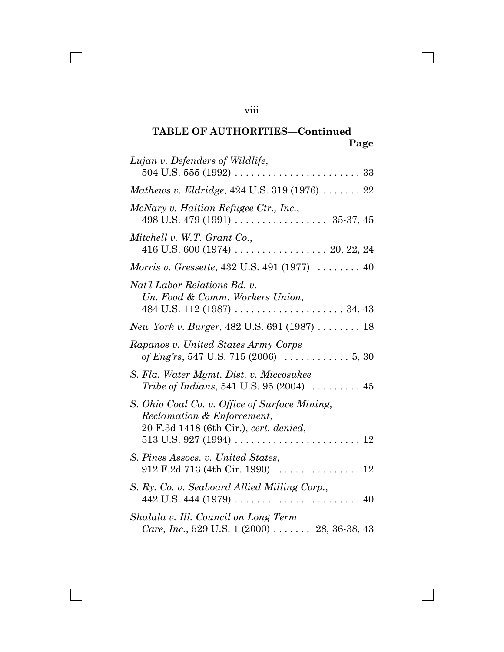| Lujan v. Defenders of Wildlife,                                                                                       |
|-----------------------------------------------------------------------------------------------------------------------|
| <i>Mathews v. Eldridge, 424 U.S.</i> 319 (1976) $\ldots \ldots 22$                                                    |
| McNary v. Haitian Refugee Ctr., Inc.,                                                                                 |
| Mitchell v. W.T. Grant Co.,                                                                                           |
| Morris v. Gressette, 432 U.S. 491 (1977)  40                                                                          |
| Nat'l Labor Relations Bd. v.<br>Un. Food & Comm. Workers Union,                                                       |
| New York v. Burger, 482 U.S. 691 (1987)  18                                                                           |
| Rapanos v. United States Army Corps<br>of Eng'rs, 547 U.S. 715 (2006) $\ldots \ldots \ldots 5, 30$                    |
| S. Fla. Water Mgmt. Dist. v. Miccosukee<br>Tribe of Indians, 541 U.S. 95 (2004) $\ldots \ldots \ldots$ 45             |
| S. Ohio Coal Co. v. Office of Surface Mining,<br>Reclamation & Enforcement,<br>20 F.3d 1418 (6th Cir.), cert. denied, |
| S. Pines Assocs. v. United States,                                                                                    |
| S. Ry. Co. v. Seaboard Allied Milling Corp.,                                                                          |
| Shalala v. Ill. Council on Long Term<br><i>Care, Inc.</i> , 529 U.S. 1 $(2000)$ 28, 36-38, 43                         |

viii

 $\overline{\Gamma}$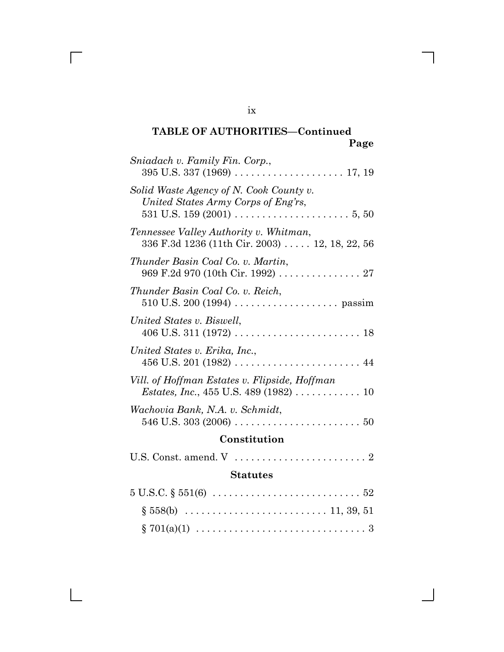| Sniadach v. Family Fin. Corp.,                                                                                               |
|------------------------------------------------------------------------------------------------------------------------------|
| Solid Waste Agency of N. Cook County v.<br>United States Army Corps of Eng'rs,                                               |
| Tennessee Valley Authority v. Whitman,<br>336 F.3d 1236 (11th Cir. 2003) 12, 18, 22, 56                                      |
| Thunder Basin Coal Co. v. Martin,<br>969 F.2d 970 (10th Cir. 1992) 27                                                        |
| Thunder Basin Coal Co. v. Reich,                                                                                             |
| United States v. Biswell,                                                                                                    |
| United States v. Erika, Inc.,                                                                                                |
| Vill. of Hoffman Estates v. Flipside, Hoffman<br><i>Estates, Inc.</i> , 455 U.S. 489 (1982) $\ldots \ldots \ldots \ldots 10$ |
| Wachovia Bank, N.A. v. Schmidt,                                                                                              |
| Constitution                                                                                                                 |
|                                                                                                                              |
| <b>Statutes</b>                                                                                                              |

| $5 \text{ U.S.C.} \S 551(6) \ldots \ldots \ldots \ldots \ldots \ldots \ldots \ldots \ldots 52$ |  |
|------------------------------------------------------------------------------------------------|--|
|                                                                                                |  |
|                                                                                                |  |

ix

 $\overline{\Gamma}$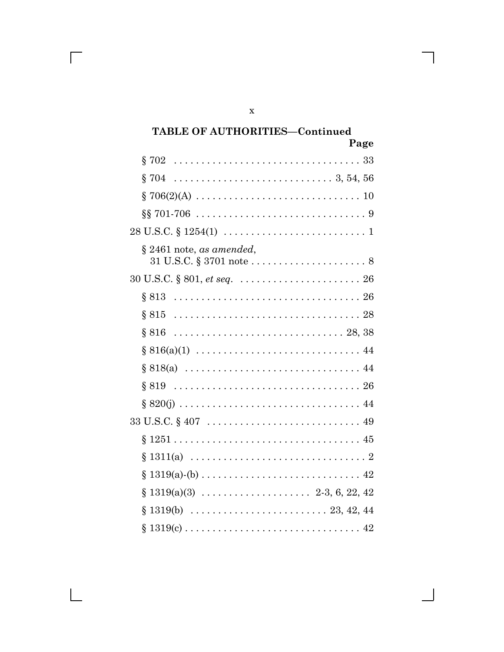| Page                                                                                                |
|-----------------------------------------------------------------------------------------------------|
| \$702                                                                                               |
| \$704                                                                                               |
|                                                                                                     |
|                                                                                                     |
| $28 \text{ U.S.C.} \S 1254(1) \ldots \ldots \ldots \ldots \ldots \ldots \ldots \ldots 1$            |
| $\S 2461$ note, as amended,                                                                         |
|                                                                                                     |
|                                                                                                     |
|                                                                                                     |
| 8816                                                                                                |
|                                                                                                     |
|                                                                                                     |
| 8819                                                                                                |
|                                                                                                     |
| $33 \text{ U.S.C.} \S 407 \ldots \ldots \ldots \ldots \ldots \ldots \ldots \ldots \ldots \ldots 49$ |
|                                                                                                     |
| 8.                                                                                                  |
| ş                                                                                                   |
| Ş                                                                                                   |
| Ş                                                                                                   |
| Ş                                                                                                   |

 $\mathbf x$ 

 $\mathsf{l}$ 

 $\overline{\Gamma}$ 

 $\boxed{\phantom{1}}$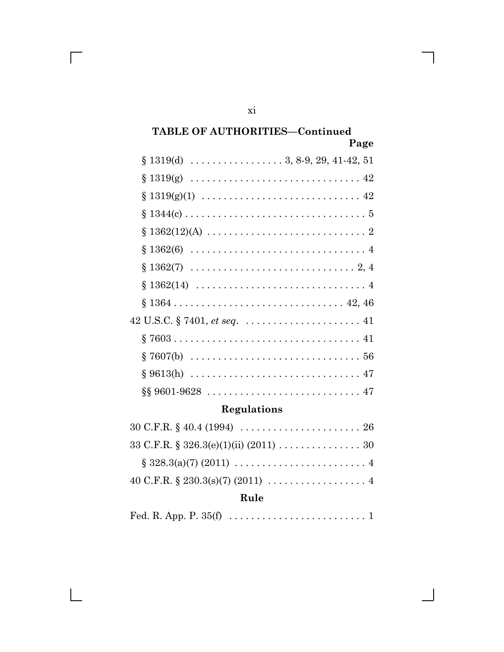| $§ 1319(g) \ldots \ldots \ldots \ldots \ldots \ldots \ldots \ldots \ldots \ldots \ldots 42$       |
|---------------------------------------------------------------------------------------------------|
| $\S 1319(g)(1) \ldots \ldots \ldots \ldots \ldots \ldots \ldots \ldots \ldots \ldots 42$          |
|                                                                                                   |
| $\S 1362(12)(A) \ldots \ldots \ldots \ldots \ldots \ldots \ldots \ldots 2$                        |
|                                                                                                   |
|                                                                                                   |
| $\S 1362(14) \ldots \ldots \ldots \ldots \ldots \ldots \ldots \ldots \ldots \ldots \ldots \ldots$ |
|                                                                                                   |
|                                                                                                   |
|                                                                                                   |
|                                                                                                   |
|                                                                                                   |
|                                                                                                   |

# Regulations

# Rule

|--|--|--|

 $\overline{\mathrm{xi}}$ 

 $\overline{\phantom{a}}$ 

 $\blacksquare$ 

 $\overline{\Gamma}$ 

 $\Box$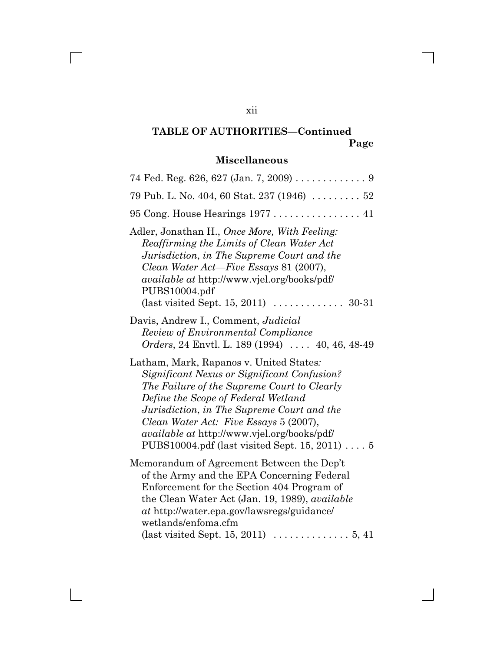# **Miscellaneous**

| 74 Fed. Reg. 626, 627 (Jan. 7, 2009) $\ldots \ldots \ldots$                                                                                                                                                                                                                                                                                                                  |
|------------------------------------------------------------------------------------------------------------------------------------------------------------------------------------------------------------------------------------------------------------------------------------------------------------------------------------------------------------------------------|
| 79 Pub. L. No. 404, 60 Stat. 237 (1946)  52                                                                                                                                                                                                                                                                                                                                  |
| 95 Cong. House Hearings 1977  41                                                                                                                                                                                                                                                                                                                                             |
| Adler, Jonathan H., Once More, With Feeling:<br>Reaffirming the Limits of Clean Water Act<br>Jurisdiction, in The Supreme Court and the<br>Clean Water Act—Five Essays 81 (2007),<br><i>available at http://www.vjel.org/books/pdf/</i><br>PUBS10004.pdf<br>(last visited Sept. 15, 2011) $\ldots \ldots \ldots \ldots$ 30-31                                                |
| Davis, Andrew I., Comment, Judicial<br>Review of Environmental Compliance<br>Orders, 24 Envtl. L. 189 (1994)  40, 46, 48-49                                                                                                                                                                                                                                                  |
| Latham, Mark, Rapanos v. United States:<br>Significant Nexus or Significant Confusion?<br>The Failure of the Supreme Court to Clearly<br>Define the Scope of Federal Wetland<br>Jurisdiction, in The Supreme Court and the<br>Clean Water Act: Five Essays 5 (2007),<br><i>available at http://www.vjel.org/books/pdf/</i><br>PUBS10004.pdf (last visited Sept. 15, 2011)  5 |
| Memorandum of Agreement Between the Dep't<br>of the Army and the EPA Concerning Federal<br>Enforcement for the Section 404 Program of<br>the Clean Water Act (Jan. 19, 1989), <i>available</i><br>at http://water.epa.gov/lawsregs/guidance/<br>wetlands/enfoma.cfm<br>(last visited Sept. 15, 2011) $\ldots \ldots \ldots \ldots 5, 41$                                     |

xii

 $\overline{\Gamma}$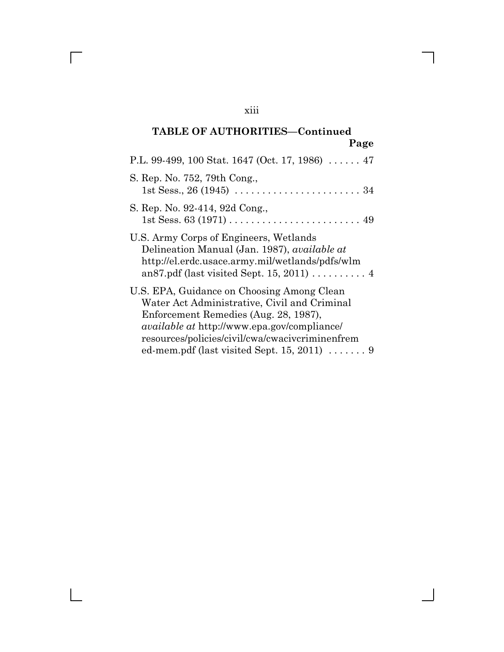| P.L. 99-499, 100 Stat. 1647 (Oct. 17, 1986) $\dots$ . 47                                                                                                                                                                                                                                          |
|---------------------------------------------------------------------------------------------------------------------------------------------------------------------------------------------------------------------------------------------------------------------------------------------------|
| S. Rep. No. 752, 79th Cong.,                                                                                                                                                                                                                                                                      |
| S. Rep. No. 92-414, 92d Cong.,                                                                                                                                                                                                                                                                    |
| U.S. Army Corps of Engineers, Wetlands<br>Delineation Manual (Jan. 1987), <i>available at</i><br>http://el.erdc.usace.army.mil/wetlands/pdfs/wlm<br>an 87.pdf (last visited Sept. 15, 2011) $\ldots \ldots$                                                                                       |
| U.S. EPA, Guidance on Choosing Among Clean<br>Water Act Administrative, Civil and Criminal<br>Enforcement Remedies (Aug. 28, 1987),<br><i>available at http://www.epa.gov/compliance/</i><br>resources/policies/civil/cwa/cwacivcriminenfrem<br>ed-mem.pdf (last visited Sept. 15, 2011) $\ldots$ |
|                                                                                                                                                                                                                                                                                                   |

xiii

 $\overline{\Gamma}$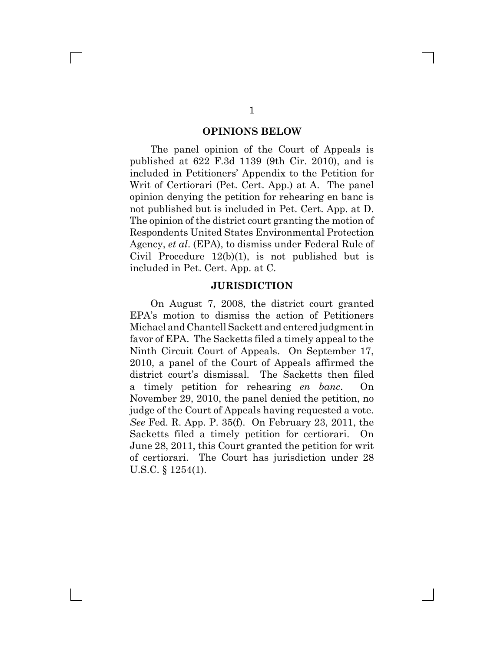#### **OPINIONS BELOW**

The panel opinion of the Court of Appeals is published at 622 F.3d 1139 (9th Cir. 2010), and is included in Petitioners' Appendix to the Petition for Writ of Certiorari (Pet. Cert. App.) at A. The panel opinion denying the petition for rehearing en banc is not published but is included in Pet. Cert. App. at D. The opinion of the district court granting the motion of Respondents United States Environmental Protection Agency, *et al*. (EPA), to dismiss under Federal Rule of Civil Procedure 12(b)(1), is not published but is included in Pet. Cert. App. at C.

#### **JURISDICTION**

On August 7, 2008, the district court granted EPA's motion to dismiss the action of Petitioners Michael and Chantell Sackett and entered judgment in favor of EPA. The Sacketts filed a timely appeal to the Ninth Circuit Court of Appeals. On September 17, 2010, a panel of the Court of Appeals affirmed the district court's dismissal. The Sacketts then filed a timely petition for rehearing *en banc*. On November 29, 2010, the panel denied the petition, no judge of the Court of Appeals having requested a vote. *See* Fed. R. App. P. 35(f). On February 23, 2011, the Sacketts filed a timely petition for certiorari. On June 28, 2011, this Court granted the petition for writ of certiorari. The Court has jurisdiction under 28 U.S.C. § 1254(1).

 $\mathbb{R}^n$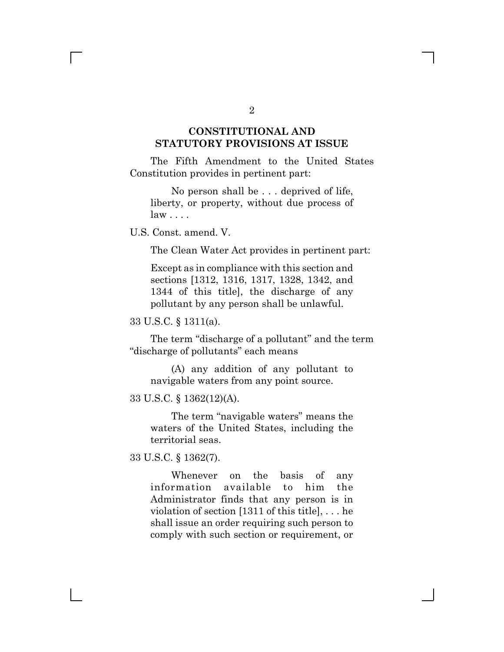# **CONSTITUTIONAL AND STATUTORY PROVISIONS AT ISSUE**

The Fifth Amendment to the United States Constitution provides in pertinent part:

No person shall be . . . deprived of life, liberty, or property, without due process of law . . . .

U.S. Const. amend. V.

The Clean Water Act provides in pertinent part:

Except as in compliance with this section and sections [1312, 1316, 1317, 1328, 1342, and 1344 of this title], the discharge of any pollutant by any person shall be unlawful.

33 U.S.C. § 1311(a).

The term "discharge of a pollutant" and the term "discharge of pollutants" each means

(A) any addition of any pollutant to navigable waters from any point source.

33 U.S.C. § 1362(12)(A).

The term "navigable waters" means the waters of the United States, including the territorial seas.

33 U.S.C. § 1362(7).

Whenever on the basis of any information available to him the Administrator finds that any person is in violation of section [1311 of this title], . . . he shall issue an order requiring such person to comply with such section or requirement, or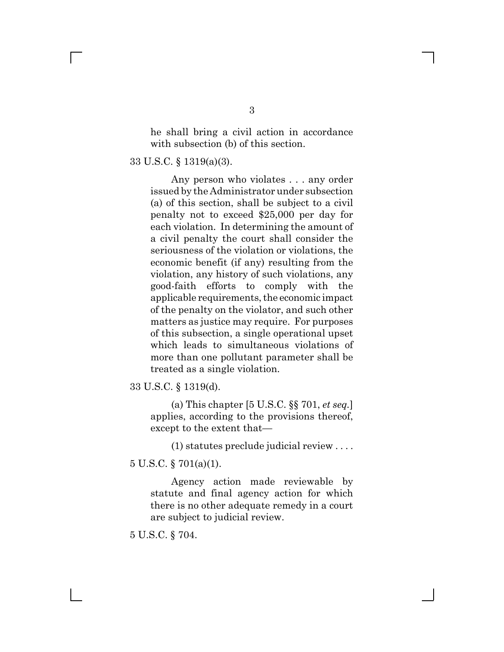he shall bring a civil action in accordance with subsection (b) of this section.

33 U.S.C. § 1319(a)(3).

Any person who violates . . . any order issued by the Administrator under subsection (a) of this section, shall be subject to a civil penalty not to exceed \$25,000 per day for each violation. In determining the amount of a civil penalty the court shall consider the seriousness of the violation or violations, the economic benefit (if any) resulting from the violation, any history of such violations, any good-faith efforts to comply with the applicable requirements, the economic impact of the penalty on the violator, and such other matters as justice may require. For purposes of this subsection, a single operational upset which leads to simultaneous violations of more than one pollutant parameter shall be treated as a single violation.

33 U.S.C. § 1319(d).

(a) This chapter [5 U.S.C. §§ 701, *et seq.*] applies, according to the provisions thereof, except to the extent that—

(1) statutes preclude judicial review . . . .

5 U.S.C. § 701(a)(1).

Agency action made reviewable by statute and final agency action for which there is no other adequate remedy in a court are subject to judicial review.

5 U.S.C. § 704.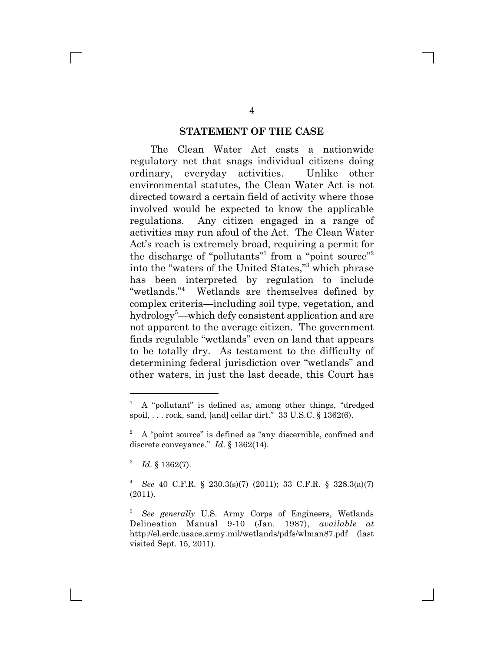### **STATEMENT OF THE CASE**

The Clean Water Act casts a nationwide regulatory net that snags individual citizens doing ordinary, everyday activities. Unlike other environmental statutes, the Clean Water Act is not directed toward a certain field of activity where those involved would be expected to know the applicable regulations. Any citizen engaged in a range of activities may run afoul of the Act. The Clean Water Act's reach is extremely broad, requiring a permit for the discharge of "pollutants"<sup>1</sup> from a "point source"<sup>2</sup> into the "waters of the United States,"3 which phrase has been interpreted by regulation to include "wetlands."<sup>4</sup> Wetlands are themselves defined by complex criteria—including soil type, vegetation, and hydrology<sup>5</sup>—which defy consistent application and are not apparent to the average citizen. The government finds regulable "wetlands" even on land that appears to be totally dry. As testament to the difficulty of determining federal jurisdiction over "wetlands" and other waters, in just the last decade, this Court has

<sup>1</sup> A "pollutant" is defined as, among other things, "dredged spoil, . . . rock, sand, [and] cellar dirt." 33 U.S.C. § 1362(6).

<sup>&</sup>lt;sup>2</sup> A "point source" is defined as "any discernible, confined and discrete conveyance." *Id*. § 1362(14).

<sup>3</sup> *Id*. § 1362(7).

<sup>4</sup> *See* 40 C.F.R. § 230.3(s)(7) (2011); 33 C.F.R. § 328.3(a)(7) (2011).

<sup>5</sup> *See generally* U.S. Army Corps of Engineers, Wetlands Delineation Manual 9-10 (Jan. 1987), *available at* http://el.erdc.usace.army.mil/wetlands/pdfs/wlman87.pdf (last visited Sept. 15, 2011).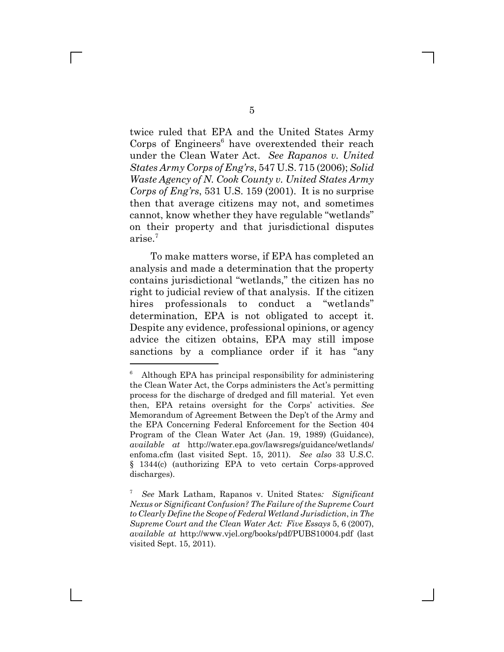twice ruled that EPA and the United States Army Corps of Engineers $6$  have overextended their reach under the Clean Water Act. *See Rapanos v. United States Army Corps of Eng'rs*, 547 U.S. 715 (2006); *Solid Waste Agency of N. Cook County v. United States Army Corps of Eng'rs*, 531 U.S. 159 (2001). It is no surprise then that average citizens may not, and sometimes cannot, know whether they have regulable "wetlands" on their property and that jurisdictional disputes arise.<sup>7</sup>

To make matters worse, if EPA has completed an analysis and made a determination that the property contains jurisdictional "wetlands," the citizen has no right to judicial review of that analysis. If the citizen hires professionals to conduct a "wetlands" determination, EPA is not obligated to accept it. Despite any evidence, professional opinions, or agency advice the citizen obtains, EPA may still impose sanctions by a compliance order if it has "any

 $6$  Although EPA has principal responsibility for administering the Clean Water Act, the Corps administers the Act's permitting process for the discharge of dredged and fill material. Yet even then, EPA retains oversight for the Corps' activities. *See* Memorandum of Agreement Between the Dep't of the Army and the EPA Concerning Federal Enforcement for the Section 404 Program of the Clean Water Act (Jan. 19, 1989) (Guidance), *available at* http://water.epa.gov/lawsregs/guidance/wetlands/ enfoma.cfm (last visited Sept. 15, 2011). *See also* 33 U.S.C. § 1344(c) (authorizing EPA to veto certain Corps-approved discharges).

<sup>7</sup> *See* Mark Latham, Rapanos v. United States*: Significant Nexus or Significant Confusion? The Failure of the Supreme Court to Clearly Define the Scope of Federal Wetland Jurisdiction*, *in The Supreme Court and the Clean Water Act: Five Essays* 5, 6 (2007), *available at* http://www.vjel.org/books/pdf/PUBS10004.pdf (last visited Sept. 15, 2011).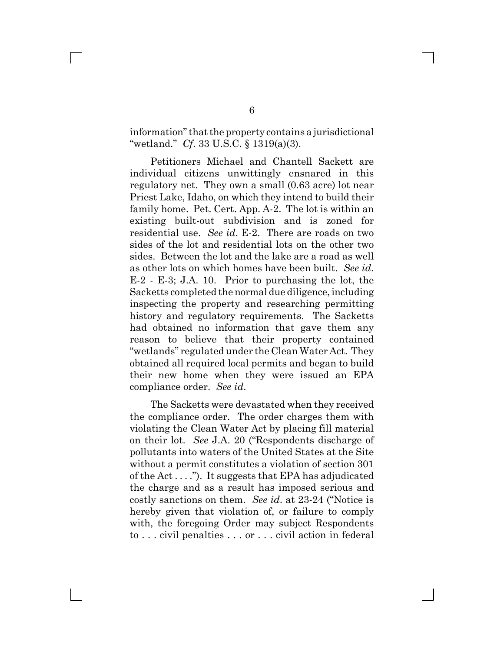information" that the property contains a jurisdictional "wetland." *Cf*. 33 U.S.C. § 1319(a)(3).

Petitioners Michael and Chantell Sackett are individual citizens unwittingly ensnared in this regulatory net. They own a small (0.63 acre) lot near Priest Lake, Idaho, on which they intend to build their family home. Pet. Cert. App. A-2. The lot is within an existing built-out subdivision and is zoned for residential use. *See id*. E-2. There are roads on two sides of the lot and residential lots on the other two sides. Between the lot and the lake are a road as well as other lots on which homes have been built. *See id*. E-2 - E-3; J.A. 10. Prior to purchasing the lot, the Sacketts completed the normal due diligence, including inspecting the property and researching permitting history and regulatory requirements. The Sacketts had obtained no information that gave them any reason to believe that their property contained "wetlands" regulated under the Clean Water Act. They obtained all required local permits and began to build their new home when they were issued an EPA compliance order. *See id*.

The Sacketts were devastated when they received the compliance order. The order charges them with violating the Clean Water Act by placing fill material on their lot. *See* J.A. 20 ("Respondents discharge of pollutants into waters of the United States at the Site without a permit constitutes a violation of section 301 of the Act . . . ."). It suggests that EPA has adjudicated the charge and as a result has imposed serious and costly sanctions on them. *See id*. at 23-24 ("Notice is hereby given that violation of, or failure to comply with, the foregoing Order may subject Respondents to . . . civil penalties . . . or . . . civil action in federal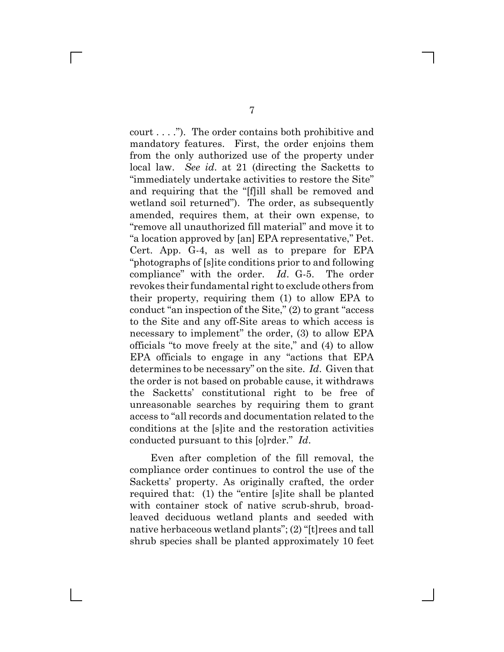court . . . ."). The order contains both prohibitive and mandatory features. First, the order enjoins them from the only authorized use of the property under local law. *See id*. at 21 (directing the Sacketts to "immediately undertake activities to restore the Site" and requiring that the "[f]ill shall be removed and wetland soil returned"). The order, as subsequently amended, requires them, at their own expense, to "remove all unauthorized fill material" and move it to "a location approved by [an] EPA representative," Pet. Cert. App. G-4, as well as to prepare for EPA "photographs of [s]ite conditions prior to and following compliance" with the order. *Id*. G-5. The order revokes their fundamental right to exclude others from their property, requiring them (1) to allow EPA to conduct "an inspection of the Site," (2) to grant "access to the Site and any off-Site areas to which access is necessary to implement" the order, (3) to allow EPA officials "to move freely at the site," and (4) to allow EPA officials to engage in any "actions that EPA determines to be necessary" on the site. *Id*. Given that the order is not based on probable cause, it withdraws the Sacketts' constitutional right to be free of unreasonable searches by requiring them to grant access to "all records and documentation related to the conditions at the [s]ite and the restoration activities conducted pursuant to this [o]rder." *Id*.

Even after completion of the fill removal, the compliance order continues to control the use of the Sacketts' property. As originally crafted, the order required that: (1) the "entire [s]ite shall be planted with container stock of native scrub-shrub, broadleaved deciduous wetland plants and seeded with native herbaceous wetland plants"; (2) "[t]rees and tall shrub species shall be planted approximately 10 feet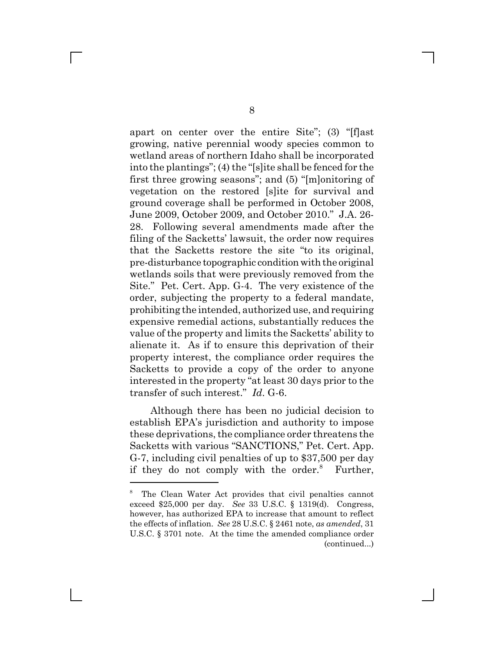apart on center over the entire Site"; (3) "[f]ast growing, native perennial woody species common to wetland areas of northern Idaho shall be incorporated into the plantings"; (4) the "[s]ite shall be fenced for the first three growing seasons"; and (5) "[m]onitoring of vegetation on the restored [s]ite for survival and ground coverage shall be performed in October 2008, June 2009, October 2009, and October 2010." J.A. 26- 28. Following several amendments made after the filing of the Sacketts' lawsuit, the order now requires that the Sacketts restore the site "to its original, pre-disturbance topographic condition with the original wetlands soils that were previously removed from the Site." Pet. Cert. App. G-4. The very existence of the order, subjecting the property to a federal mandate, prohibiting the intended, authorized use, and requiring expensive remedial actions, substantially reduces the value of the property and limits the Sacketts' ability to alienate it. As if to ensure this deprivation of their property interest, the compliance order requires the Sacketts to provide a copy of the order to anyone interested in the property "at least 30 days prior to the transfer of such interest." *Id*. G-6.

Although there has been no judicial decision to establish EPA's jurisdiction and authority to impose these deprivations, the compliance order threatens the Sacketts with various "SANCTIONS," Pet. Cert. App. G-7, including civil penalties of up to \$37,500 per day if they do not comply with the order.<sup>8</sup> Further,

<sup>8</sup> The Clean Water Act provides that civil penalties cannot exceed \$25,000 per day. *See* 33 U.S.C. § 1319(d). Congress, however, has authorized EPA to increase that amount to reflect the effects of inflation. *See* 28 U.S.C. § 2461 note, *as amended*, 31 U.S.C. § 3701 note. At the time the amended compliance order (continued...)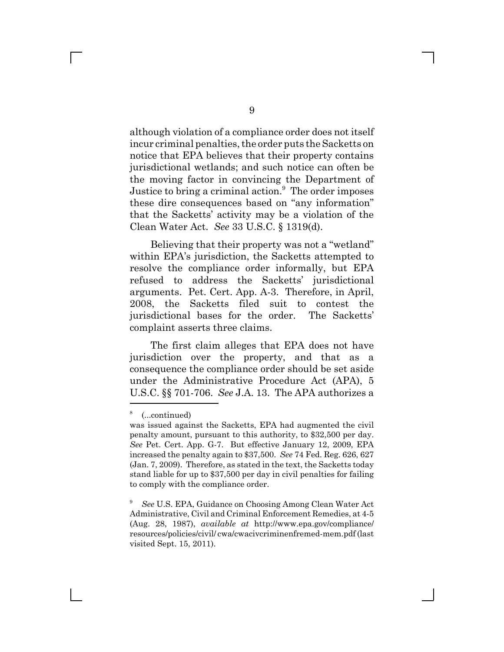although violation of a compliance order does not itself incur criminal penalties, the order puts the Sacketts on notice that EPA believes that their property contains jurisdictional wetlands; and such notice can often be the moving factor in convincing the Department of Justice to bring a criminal action.<sup>9</sup> The order imposes these dire consequences based on "any information" that the Sacketts' activity may be a violation of the Clean Water Act. *See* 33 U.S.C. § 1319(d).

Believing that their property was not a "wetland" within EPA's jurisdiction, the Sacketts attempted to resolve the compliance order informally, but EPA refused to address the Sacketts' jurisdictional arguments. Pet. Cert. App. A-3. Therefore, in April, 2008, the Sacketts filed suit to contest the jurisdictional bases for the order. The Sacketts' complaint asserts three claims.

The first claim alleges that EPA does not have jurisdiction over the property, and that as a consequence the compliance order should be set aside under the Administrative Procedure Act (APA), 5 U.S.C. §§ 701-706. *See* J.A. 13. The APA authorizes a

<sup>8</sup> (...continued)

was issued against the Sacketts, EPA had augmented the civil penalty amount, pursuant to this authority, to \$32,500 per day. *See* Pet. Cert. App. G-7. But effective January 12, 2009, EPA increased the penalty again to \$37,500. *See* 74 Fed. Reg. 626, 627 (Jan. 7, 2009). Therefore, as stated in the text, the Sacketts today stand liable for up to \$37,500 per day in civil penalties for failing to comply with the compliance order.

<sup>9</sup> *See* U.S. EPA, Guidance on Choosing Among Clean Water Act Administrative, Civil and Criminal Enforcement Remedies, at 4-5 (Aug. 28, 1987), *available at* http://www.epa.gov/compliance/ resources/policies/civil/ cwa/cwacivcriminenfremed-mem.pdf (last visited Sept. 15, 2011).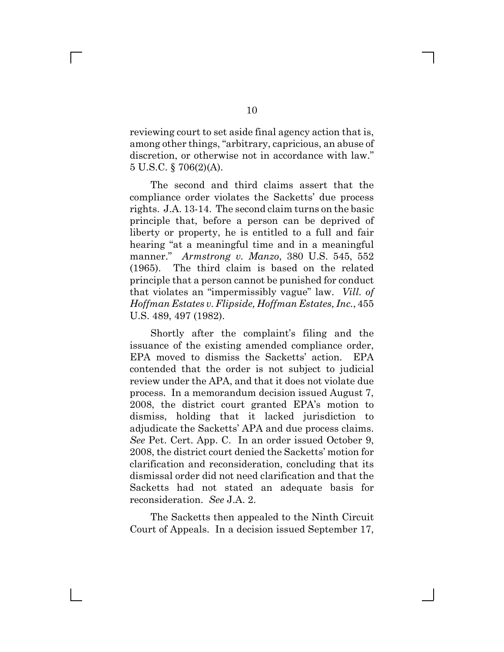reviewing court to set aside final agency action that is, among other things, "arbitrary, capricious, an abuse of discretion, or otherwise not in accordance with law." 5 U.S.C. § 706(2)(A).

The second and third claims assert that the compliance order violates the Sacketts' due process rights. J.A. 13-14. The second claim turns on the basic principle that, before a person can be deprived of liberty or property, he is entitled to a full and fair hearing "at a meaningful time and in a meaningful manner." *Armstrong v. Manzo*, 380 U.S. 545, 552 (1965). The third claim is based on the related principle that a person cannot be punished for conduct that violates an "impermissibly vague" law. *Vill. of Hoffman Estates v. Flipside, Hoffman Estates, Inc.*, 455 U.S. 489, 497 (1982).

Shortly after the complaint's filing and the issuance of the existing amended compliance order, EPA moved to dismiss the Sacketts' action. EPA contended that the order is not subject to judicial review under the APA, and that it does not violate due process. In a memorandum decision issued August 7, 2008, the district court granted EPA's motion to dismiss, holding that it lacked jurisdiction to adjudicate the Sacketts' APA and due process claims. *See* Pet. Cert. App. C. In an order issued October 9, 2008, the district court denied the Sacketts' motion for clarification and reconsideration, concluding that its dismissal order did not need clarification and that the Sacketts had not stated an adequate basis for reconsideration. *See* J.A. 2.

The Sacketts then appealed to the Ninth Circuit Court of Appeals. In a decision issued September 17,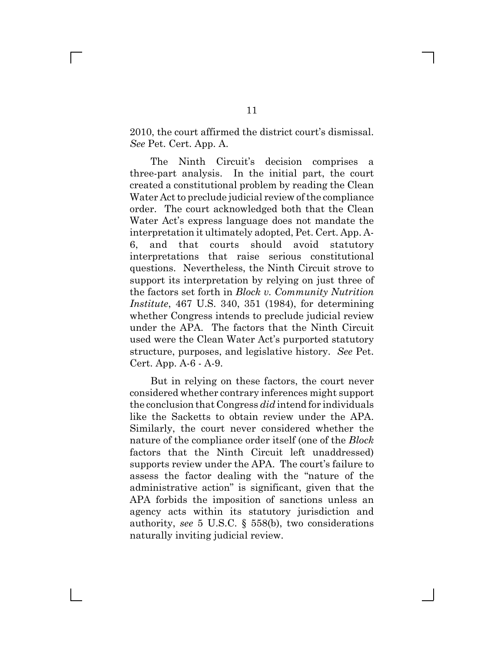2010, the court affirmed the district court's dismissal. *See* Pet. Cert. App. A.

The Ninth Circuit's decision comprises a three-part analysis. In the initial part, the court created a constitutional problem by reading the Clean Water Act to preclude judicial review of the compliance order. The court acknowledged both that the Clean Water Act's express language does not mandate the interpretation it ultimately adopted, Pet. Cert. App. A-6, and that courts should avoid statutory interpretations that raise serious constitutional questions. Nevertheless, the Ninth Circuit strove to support its interpretation by relying on just three of the factors set forth in *Block v. Community Nutrition Institute*, 467 U.S. 340, 351 (1984), for determining whether Congress intends to preclude judicial review under the APA. The factors that the Ninth Circuit used were the Clean Water Act's purported statutory structure, purposes, and legislative history. *See* Pet. Cert. App. A-6 - A-9.

But in relying on these factors, the court never considered whether contrary inferences might support the conclusion that Congress *did* intend for individuals like the Sacketts to obtain review under the APA. Similarly, the court never considered whether the nature of the compliance order itself (one of the *Block* factors that the Ninth Circuit left unaddressed) supports review under the APA. The court's failure to assess the factor dealing with the "nature of the administrative action" is significant, given that the APA forbids the imposition of sanctions unless an agency acts within its statutory jurisdiction and authority, *see* 5 U.S.C. § 558(b), two considerations naturally inviting judicial review.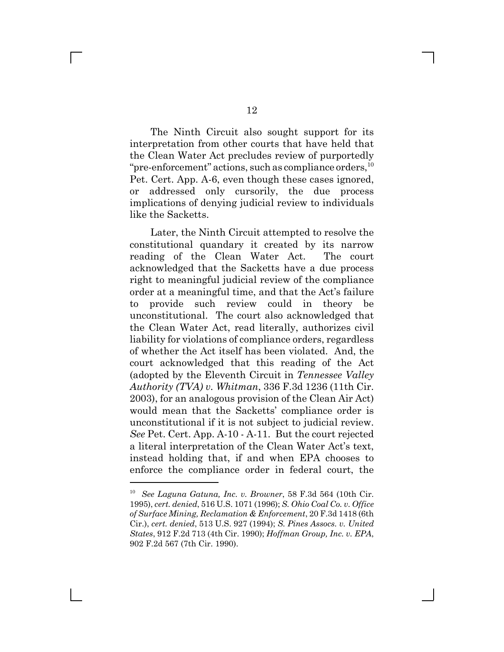The Ninth Circuit also sought support for its interpretation from other courts that have held that the Clean Water Act precludes review of purportedly "pre-enforcement" actions, such as compliance orders,  $^{10}$ Pet. Cert. App. A-6, even though these cases ignored, or addressed only cursorily, the due process implications of denying judicial review to individuals like the Sacketts.

Later, the Ninth Circuit attempted to resolve the constitutional quandary it created by its narrow reading of the Clean Water Act. The court acknowledged that the Sacketts have a due process right to meaningful judicial review of the compliance order at a meaningful time, and that the Act's failure to provide such review could in theory be unconstitutional. The court also acknowledged that the Clean Water Act, read literally, authorizes civil liability for violations of compliance orders, regardless of whether the Act itself has been violated. And, the court acknowledged that this reading of the Act (adopted by the Eleventh Circuit in *Tennessee Valley Authority (TVA) v. Whitman*, 336 F.3d 1236 (11th Cir. 2003), for an analogous provision of the Clean Air Act) would mean that the Sacketts' compliance order is unconstitutional if it is not subject to judicial review. *See* Pet. Cert. App. A-10 - A-11. But the court rejected a literal interpretation of the Clean Water Act's text, instead holding that, if and when EPA chooses to enforce the compliance order in federal court, the

 $\mathbf{I}$ 

<sup>10</sup> *See Laguna Gatuna, Inc. v. Browner*, 58 F.3d 564 (10th Cir. 1995), *cert. denied*, 516 U.S. 1071 (1996); *S. Ohio Coal Co. v. Office of Surface Mining, Reclamation & Enforcement*, 20 F.3d 1418 (6th Cir.), *cert. denied*, 513 U.S. 927 (1994); *S. Pines Assocs. v. United States*, 912 F.2d 713 (4th Cir. 1990); *Hoffman Group, Inc. v. EPA*, 902 F.2d 567 (7th Cir. 1990).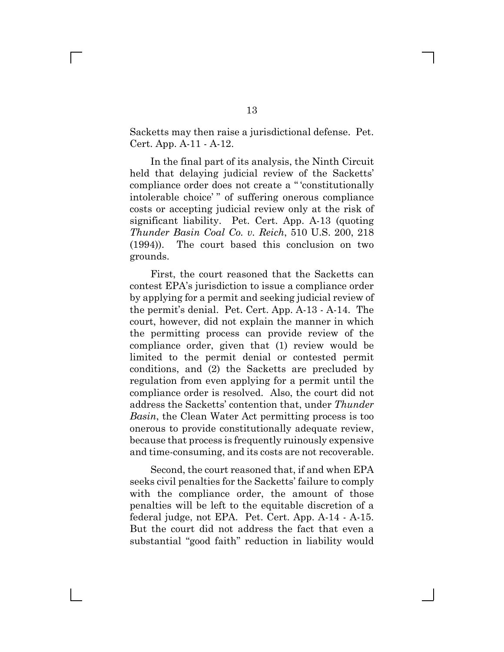Sacketts may then raise a jurisdictional defense. Pet. Cert. App. A-11 - A-12.

In the final part of its analysis, the Ninth Circuit held that delaying judicial review of the Sacketts' compliance order does not create a " 'constitutionally intolerable choice' " of suffering onerous compliance costs or accepting judicial review only at the risk of significant liability. Pet. Cert. App. A-13 (quoting *Thunder Basin Coal Co. v. Reich*, 510 U.S. 200, 218 (1994)). The court based this conclusion on two grounds.

First, the court reasoned that the Sacketts can contest EPA's jurisdiction to issue a compliance order by applying for a permit and seeking judicial review of the permit's denial. Pet. Cert. App. A-13 - A-14. The court, however, did not explain the manner in which the permitting process can provide review of the compliance order, given that (1) review would be limited to the permit denial or contested permit conditions, and (2) the Sacketts are precluded by regulation from even applying for a permit until the compliance order is resolved. Also, the court did not address the Sacketts' contention that, under *Thunder Basin*, the Clean Water Act permitting process is too onerous to provide constitutionally adequate review, because that process is frequently ruinously expensive and time-consuming, and its costs are not recoverable.

Second, the court reasoned that, if and when EPA seeks civil penalties for the Sacketts' failure to comply with the compliance order, the amount of those penalties will be left to the equitable discretion of a federal judge, not EPA. Pet. Cert. App. A-14 - A-15. But the court did not address the fact that even a substantial "good faith" reduction in liability would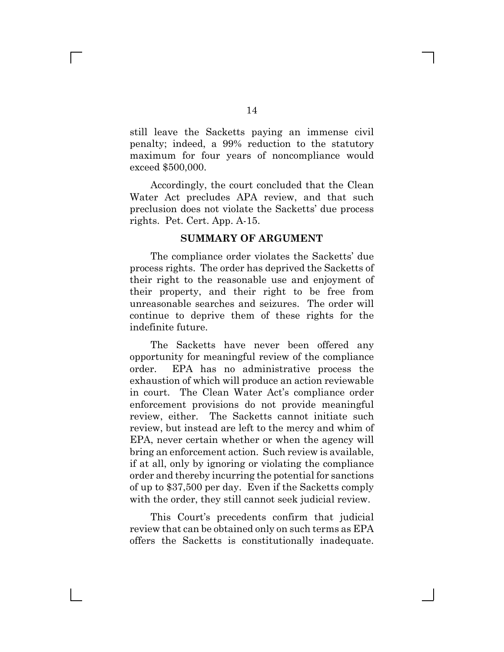still leave the Sacketts paying an immense civil penalty; indeed, a 99% reduction to the statutory maximum for four years of noncompliance would exceed \$500,000.

Accordingly, the court concluded that the Clean Water Act precludes APA review, and that such preclusion does not violate the Sacketts' due process rights. Pet. Cert. App. A-15.

#### **SUMMARY OF ARGUMENT**

The compliance order violates the Sacketts' due process rights. The order has deprived the Sacketts of their right to the reasonable use and enjoyment of their property, and their right to be free from unreasonable searches and seizures. The order will continue to deprive them of these rights for the indefinite future.

The Sacketts have never been offered any opportunity for meaningful review of the compliance order. EPA has no administrative process the exhaustion of which will produce an action reviewable in court. The Clean Water Act's compliance order enforcement provisions do not provide meaningful review, either. The Sacketts cannot initiate such review, but instead are left to the mercy and whim of EPA, never certain whether or when the agency will bring an enforcement action. Such review is available, if at all, only by ignoring or violating the compliance order and thereby incurring the potential for sanctions of up to \$37,500 per day. Even if the Sacketts comply with the order, they still cannot seek judicial review.

This Court's precedents confirm that judicial review that can be obtained only on such terms as EPA offers the Sacketts is constitutionally inadequate.

 $\mathbb{R}^n$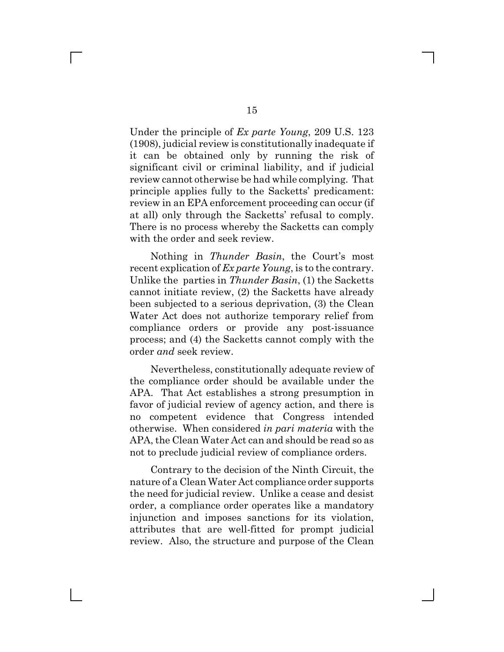Under the principle of *Ex parte Young*, 209 U.S. 123 (1908), judicial review is constitutionally inadequate if it can be obtained only by running the risk of significant civil or criminal liability, and if judicial review cannot otherwise be had while complying. That principle applies fully to the Sacketts' predicament: review in an EPA enforcement proceeding can occur (if at all) only through the Sacketts' refusal to comply. There is no process whereby the Sacketts can comply with the order and seek review.

Nothing in *Thunder Basin*, the Court's most recent explication of *Ex parte Young*, is to the contrary. Unlike the parties in *Thunder Basin*, (1) the Sacketts cannot initiate review, (2) the Sacketts have already been subjected to a serious deprivation, (3) the Clean Water Act does not authorize temporary relief from compliance orders or provide any post-issuance process; and (4) the Sacketts cannot comply with the order *and* seek review.

Nevertheless, constitutionally adequate review of the compliance order should be available under the APA. That Act establishes a strong presumption in favor of judicial review of agency action, and there is no competent evidence that Congress intended otherwise. When considered *in pari materia* with the APA, the Clean Water Act can and should be read so as not to preclude judicial review of compliance orders.

Contrary to the decision of the Ninth Circuit, the nature of a Clean Water Act compliance order supports the need for judicial review. Unlike a cease and desist order, a compliance order operates like a mandatory injunction and imposes sanctions for its violation, attributes that are well-fitted for prompt judicial review. Also, the structure and purpose of the Clean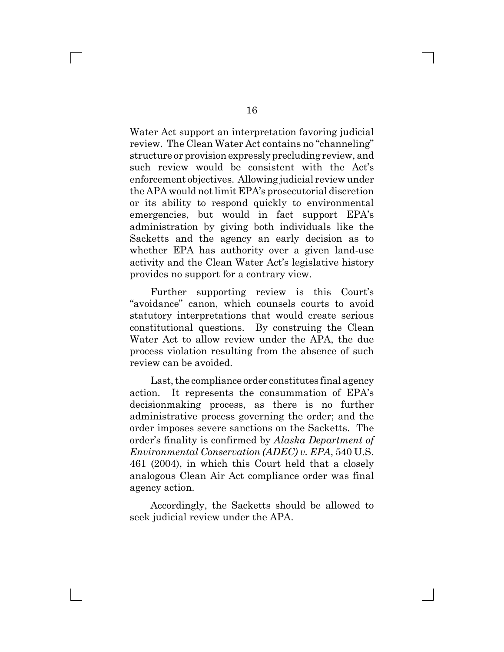Water Act support an interpretation favoring judicial review. The Clean Water Act contains no "channeling" structure or provision expressly precluding review, and such review would be consistent with the Act's enforcement objectives. Allowing judicial review under the APA would not limit EPA's prosecutorial discretion or its ability to respond quickly to environmental emergencies, but would in fact support EPA's administration by giving both individuals like the Sacketts and the agency an early decision as to whether EPA has authority over a given land-use activity and the Clean Water Act's legislative history provides no support for a contrary view.

Further supporting review is this Court's "avoidance" canon, which counsels courts to avoid statutory interpretations that would create serious constitutional questions. By construing the Clean Water Act to allow review under the APA, the due process violation resulting from the absence of such review can be avoided.

Last, the compliance order constitutes final agency action. It represents the consummation of EPA's decisionmaking process, as there is no further administrative process governing the order; and the order imposes severe sanctions on the Sacketts. The order's finality is confirmed by *Alaska Department of Environmental Conservation (ADEC) v. EPA*, 540 U.S. 461 (2004), in which this Court held that a closely analogous Clean Air Act compliance order was final agency action.

Accordingly, the Sacketts should be allowed to seek judicial review under the APA.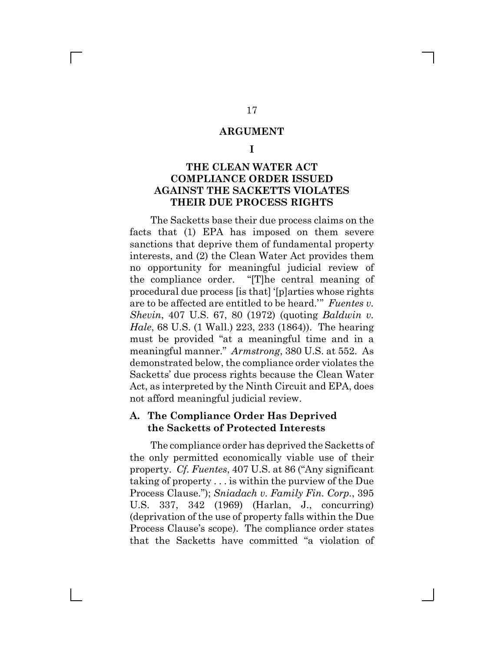#### **ARGUMENT**

**I**

## **THE CLEAN WATER ACT COMPLIANCE ORDER ISSUED AGAINST THE SACKETTS VIOLATES THEIR DUE PROCESS RIGHTS**

The Sacketts base their due process claims on the facts that (1) EPA has imposed on them severe sanctions that deprive them of fundamental property interests, and (2) the Clean Water Act provides them no opportunity for meaningful judicial review of the compliance order. "[T]he central meaning of procedural due process [is that] '[p]arties whose rights are to be affected are entitled to be heard.'" *Fuentes v. Shevin*, 407 U.S. 67, 80 (1972) (quoting *Baldwin v. Hale*, 68 U.S. (1 Wall.) 223, 233 (1864)). The hearing must be provided "at a meaningful time and in a meaningful manner." *Armstrong*, 380 U.S. at 552. As demonstrated below, the compliance order violates the Sacketts' due process rights because the Clean Water Act, as interpreted by the Ninth Circuit and EPA, does not afford meaningful judicial review.

#### **A. The Compliance Order Has Deprived the Sacketts of Protected Interests**

The compliance order has deprived the Sacketts of the only permitted economically viable use of their property. *Cf. Fuentes*, 407 U.S. at 86 ("Any significant taking of property . . . is within the purview of the Due Process Clause."); *Sniadach v. Family Fin. Corp.*, 395 U.S. 337, 342 (1969) (Harlan, J., concurring) (deprivation of the use of property falls within the Due Process Clause's scope). The compliance order states that the Sacketts have committed "a violation of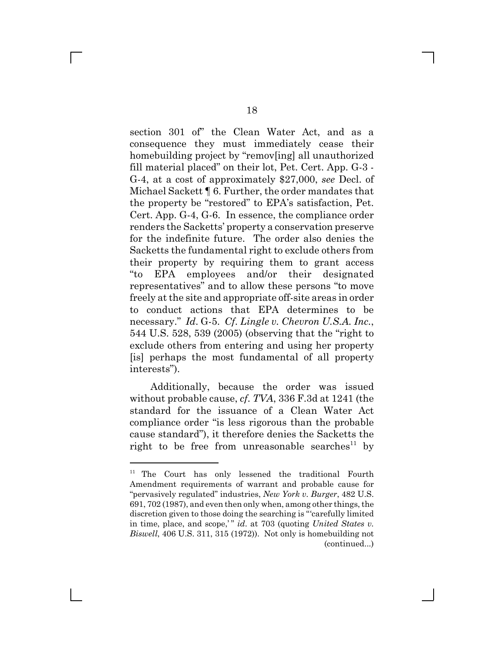section 301 of" the Clean Water Act, and as a consequence they must immediately cease their homebuilding project by "remov[ing] all unauthorized fill material placed" on their lot, Pet. Cert. App. G-3 - G-4, at a cost of approximately \$27,000, *see* Decl. of Michael Sackett ¶ 6. Further, the order mandates that the property be "restored" to EPA's satisfaction, Pet. Cert. App. G-4, G-6. In essence, the compliance order renders the Sacketts' property a conservation preserve for the indefinite future. The order also denies the Sacketts the fundamental right to exclude others from their property by requiring them to grant access "to EPA employees and/or their designated representatives" and to allow these persons "to move freely at the site and appropriate off-site areas in order to conduct actions that EPA determines to be necessary." *Id*. G-5. *Cf*. *Lingle v. Chevron U.S.A. Inc.*, 544 U.S. 528, 539 (2005) (observing that the "right to exclude others from entering and using her property [is] perhaps the most fundamental of all property interests").

Additionally, because the order was issued without probable cause, *cf*. *TVA*, 336 F.3d at 1241 (the standard for the issuance of a Clean Water Act compliance order "is less rigorous than the probable cause standard"), it therefore denies the Sacketts the right to be free from unreasonable searches<sup>11</sup> by

L

<sup>&</sup>lt;sup>11</sup> The Court has only lessened the traditional Fourth Amendment requirements of warrant and probable cause for "pervasively regulated" industries, *New York v. Burger*, 482 U.S. 691, 702 (1987), and even then only when, among other things, the discretion given to those doing the searching is "'carefully limited in time, place, and scope," *id.* at 703 (quoting *United States v. Biswell*, 406 U.S. 311, 315 (1972)). Not only is homebuilding not (continued...)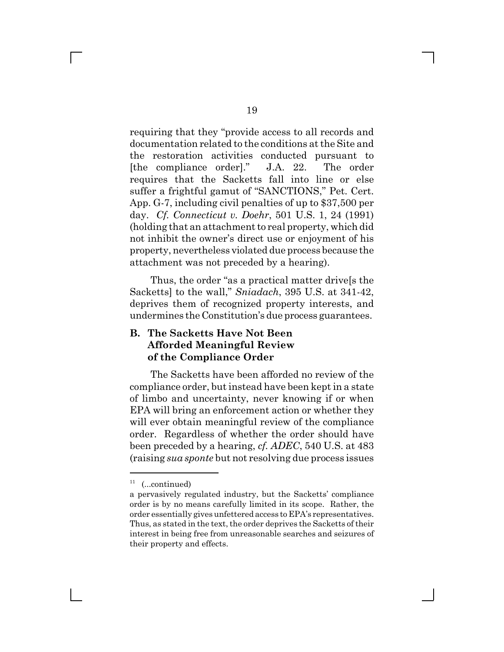requiring that they "provide access to all records and documentation related to the conditions at the Site and the restoration activities conducted pursuant to [the compliance order]." J.A. 22. The order requires that the Sacketts fall into line or else suffer a frightful gamut of "SANCTIONS," Pet. Cert. App. G-7, including civil penalties of up to \$37,500 per day. *Cf. Connecticut v. Doehr*, 501 U.S. 1, 24 (1991) (holding that an attachment to real property, which did not inhibit the owner's direct use or enjoyment of his property, nevertheless violated due process because the attachment was not preceded by a hearing).

Thus, the order "as a practical matter drive[s the Sacketts] to the wall," *Sniadach*, 395 U.S. at 341-42, deprives them of recognized property interests, and undermines the Constitution's due process guarantees.

# **B. The Sacketts Have Not Been Afforded Meaningful Review of the Compliance Order**

The Sacketts have been afforded no review of the compliance order, but instead have been kept in a state of limbo and uncertainty, never knowing if or when EPA will bring an enforcement action or whether they will ever obtain meaningful review of the compliance order. Regardless of whether the order should have been preceded by a hearing, *cf. ADEC*, 540 U.S. at 483 (raising *sua sponte* but not resolving due process issues

 $11$  (...continued)

a pervasively regulated industry, but the Sacketts' compliance order is by no means carefully limited in its scope. Rather, the order essentially gives unfettered access to EPA's representatives. Thus, as stated in the text, the order deprives the Sacketts of their interest in being free from unreasonable searches and seizures of their property and effects.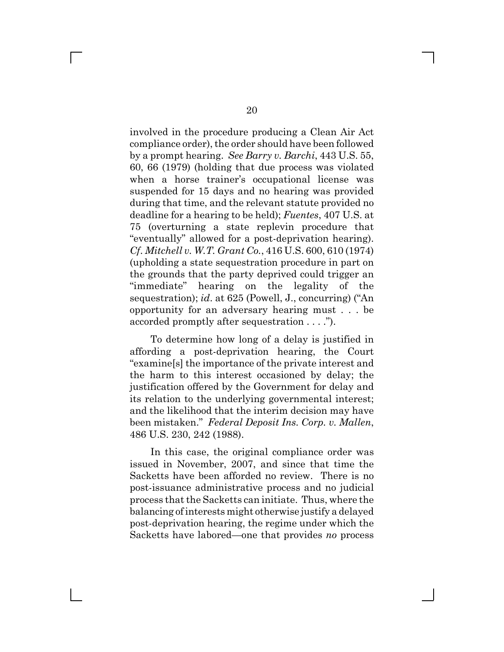involved in the procedure producing a Clean Air Act compliance order), the order should have been followed by a prompt hearing. *See Barry v. Barchi*, 443 U.S. 55, 60, 66 (1979) (holding that due process was violated when a horse trainer's occupational license was suspended for 15 days and no hearing was provided during that time, and the relevant statute provided no deadline for a hearing to be held); *Fuentes*, 407 U.S. at 75 (overturning a state replevin procedure that "eventually" allowed for a post-deprivation hearing). *Cf*. *Mitchell v. W.T. Grant Co.*, 416 U.S. 600, 610 (1974) (upholding a state sequestration procedure in part on the grounds that the party deprived could trigger an "immediate" hearing on the legality of the sequestration); *id*. at 625 (Powell, J., concurring) ("An opportunity for an adversary hearing must . . . be accorded promptly after sequestration . . . .").

To determine how long of a delay is justified in affording a post-deprivation hearing, the Court "examine[s] the importance of the private interest and the harm to this interest occasioned by delay; the justification offered by the Government for delay and its relation to the underlying governmental interest; and the likelihood that the interim decision may have been mistaken." *Federal Deposit Ins. Corp. v. Mallen*, 486 U.S. 230, 242 (1988).

In this case, the original compliance order was issued in November, 2007, and since that time the Sacketts have been afforded no review. There is no post-issuance administrative process and no judicial process that the Sacketts can initiate. Thus, where the balancing of interests might otherwise justify a delayed post-deprivation hearing, the regime under which the Sacketts have labored—one that provides *no* process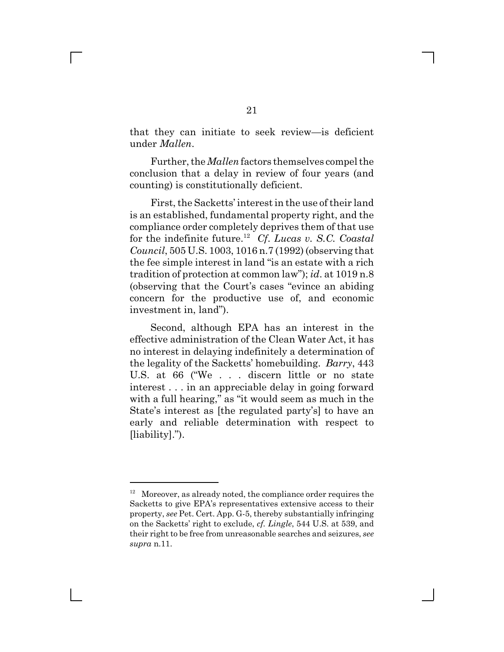that they can initiate to seek review—is deficient under *Mallen*.

Further, the *Mallen* factors themselves compel the conclusion that a delay in review of four years (and counting) is constitutionally deficient.

First, the Sacketts' interest in the use of their land is an established, fundamental property right, and the compliance order completely deprives them of that use for the indefinite future.12 *Cf*. *Lucas v. S.C. Coastal Council*, 505 U.S. 1003, 1016 n.7 (1992) (observing that the fee simple interest in land "is an estate with a rich tradition of protection at common law"); *id*. at 1019 n.8 (observing that the Court's cases "evince an abiding concern for the productive use of, and economic investment in, land").

Second, although EPA has an interest in the effective administration of the Clean Water Act, it has no interest in delaying indefinitely a determination of the legality of the Sacketts' homebuilding. *Barry*, 443 U.S. at 66 ("We . . . discern little or no state interest . . . in an appreciable delay in going forward with a full hearing," as "it would seem as much in the State's interest as [the regulated party's] to have an early and reliable determination with respect to [liability].").

 $12$  Moreover, as already noted, the compliance order requires the Sacketts to give EPA's representatives extensive access to their property, *see* Pet. Cert. App. G-5, thereby substantially infringing on the Sacketts' right to exclude, *cf. Lingle*, 544 U.S. at 539, and their right to be free from unreasonable searches and seizures, *see supra* n.11.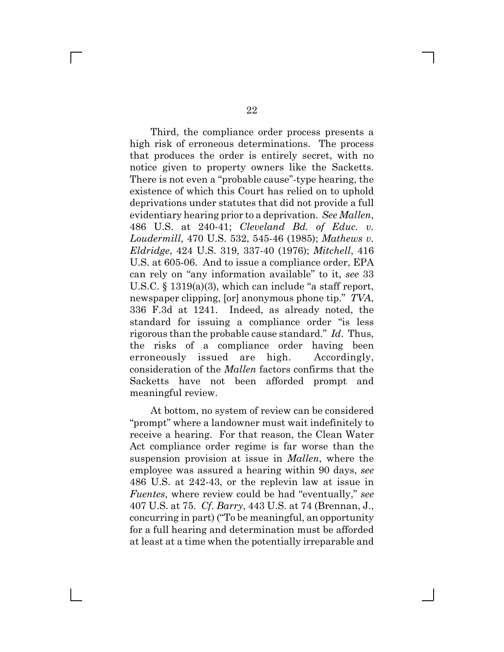Third, the compliance order process presents a high risk of erroneous determinations. The process that produces the order is entirely secret, with no notice given to property owners like the Sacketts. There is not even a "probable cause"-type hearing, the existence of which this Court has relied on to uphold deprivations under statutes that did not provide a full evidentiary hearing prior to a deprivation. *See Mallen*, 486 U.S. at 240-41; *Cleveland Bd. of Educ. v. Loudermill*, 470 U.S. 532, 545-46 (1985); *Mathews v. Eldridge*, 424 U.S. 319, 337-40 (1976); *Mitchell*, 416 U.S. at 605-06. And to issue a compliance order, EPA can rely on "any information available" to it, *see* 33 U.S.C. § 1319(a)(3), which can include "a staff report, newspaper clipping, [or] anonymous phone tip." *TVA*, 336 F.3d at 1241. Indeed, as already noted, the standard for issuing a compliance order "is less rigorous than the probable cause standard." *Id*. Thus, the risks of a compliance order having been erroneously issued are high. Accordingly, consideration of the *Mallen* factors confirms that the Sacketts have not been afforded prompt and meaningful review.

At bottom, no system of review can be considered "prompt" where a landowner must wait indefinitely to receive a hearing. For that reason, the Clean Water Act compliance order regime is far worse than the suspension provision at issue in *Mallen*, where the employee was assured a hearing within 90 days, *see* 486 U.S. at 242-43, or the replevin law at issue in *Fuentes*, where review could be had "eventually," *see* 407 U.S. at 75. *Cf*. *Barry*, 443 U.S. at 74 (Brennan, J., concurring in part) ("To be meaningful, an opportunity for a full hearing and determination must be afforded at least at a time when the potentially irreparable and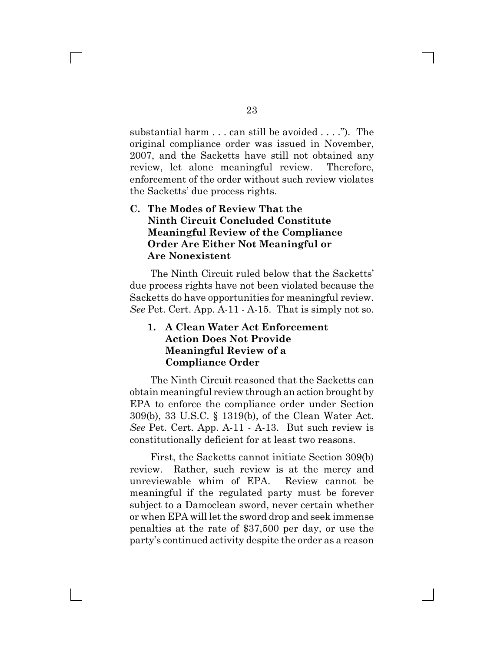substantial harm . . . can still be avoided . . . ."). The original compliance order was issued in November, 2007, and the Sacketts have still not obtained any review, let alone meaningful review. Therefore, enforcement of the order without such review violates the Sacketts' due process rights.

# **C. The Modes of Review That the Ninth Circuit Concluded Constitute Meaningful Review of the Compliance Order Are Either Not Meaningful or Are Nonexistent**

The Ninth Circuit ruled below that the Sacketts' due process rights have not been violated because the Sacketts do have opportunities for meaningful review. *See* Pet. Cert. App. A-11 - A-15. That is simply not so.

### **1. A Clean Water Act Enforcement Action Does Not Provide Meaningful Review of a Compliance Order**

The Ninth Circuit reasoned that the Sacketts can obtain meaningful review through an action brought by EPA to enforce the compliance order under Section 309(b), 33 U.S.C. § 1319(b), of the Clean Water Act. *See* Pet. Cert. App. A-11 - A-13. But such review is constitutionally deficient for at least two reasons.

First, the Sacketts cannot initiate Section 309(b) review. Rather, such review is at the mercy and unreviewable whim of EPA. Review cannot be meaningful if the regulated party must be forever subject to a Damoclean sword, never certain whether or when EPA will let the sword drop and seek immense penalties at the rate of \$37,500 per day, or use the party's continued activity despite the order as a reason

 $\mathbb{R}^n$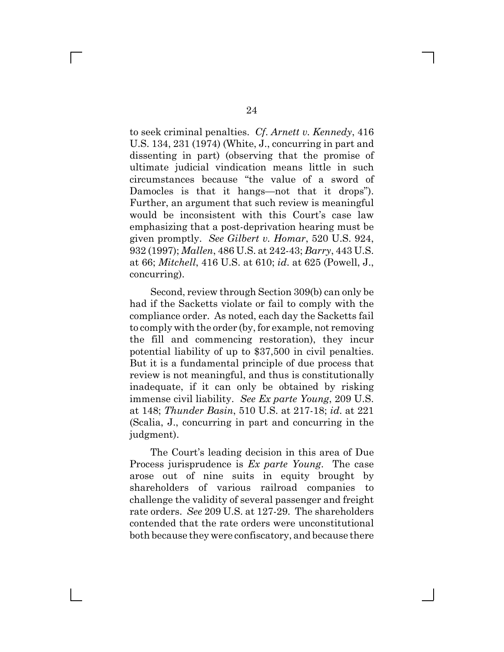to seek criminal penalties. *Cf*. *Arnett v. Kennedy*, 416 U.S. 134, 231 (1974) (White, J., concurring in part and dissenting in part) (observing that the promise of ultimate judicial vindication means little in such circumstances because "the value of a sword of Damocles is that it hangs—not that it drops"). Further, an argument that such review is meaningful would be inconsistent with this Court's case law emphasizing that a post-deprivation hearing must be given promptly. *See Gilbert v. Homar*, 520 U.S. 924, 932 (1997); *Mallen*, 486 U.S. at 242-43; *Barry*, 443 U.S. at 66; *Mitchell*, 416 U.S. at 610; *id*. at 625 (Powell, J., concurring).

Second, review through Section 309(b) can only be had if the Sacketts violate or fail to comply with the compliance order. As noted, each day the Sacketts fail to comply with the order (by, for example, not removing the fill and commencing restoration), they incur potential liability of up to \$37,500 in civil penalties. But it is a fundamental principle of due process that review is not meaningful, and thus is constitutionally inadequate, if it can only be obtained by risking immense civil liability. *See Ex parte Young*, 209 U.S. at 148; *Thunder Basin*, 510 U.S. at 217-18; *id*. at 221 (Scalia, J., concurring in part and concurring in the judgment).

The Court's leading decision in this area of Due Process jurisprudence is *Ex parte Young*. The case arose out of nine suits in equity brought by shareholders of various railroad companies to challenge the validity of several passenger and freight rate orders. *See* 209 U.S. at 127-29. The shareholders contended that the rate orders were unconstitutional both because they were confiscatory, and because there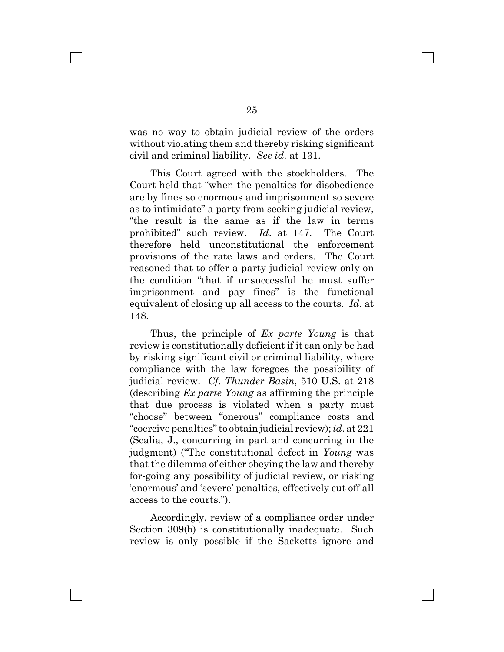was no way to obtain judicial review of the orders without violating them and thereby risking significant civil and criminal liability. *See id*. at 131.

This Court agreed with the stockholders. The Court held that "when the penalties for disobedience are by fines so enormous and imprisonment so severe as to intimidate" a party from seeking judicial review, "the result is the same as if the law in terms prohibited" such review. *Id*. at 147. The Court therefore held unconstitutional the enforcement provisions of the rate laws and orders. The Court reasoned that to offer a party judicial review only on the condition "that if unsuccessful he must suffer imprisonment and pay fines" is the functional equivalent of closing up all access to the courts. *Id*. at 148.

Thus, the principle of *Ex parte Young* is that review is constitutionally deficient if it can only be had by risking significant civil or criminal liability, where compliance with the law foregoes the possibility of judicial review. *Cf. Thunder Basin*, 510 U.S. at 218 (describing *Ex parte Young* as affirming the principle that due process is violated when a party must "choose" between "onerous" compliance costs and "coercive penalties" to obtain judicial review); *id*. at 221 (Scalia, J., concurring in part and concurring in the judgment) ("The constitutional defect in *Young* was that the dilemma of either obeying the law and thereby for-going any possibility of judicial review, or risking 'enormous' and 'severe' penalties, effectively cut off all access to the courts.").

Accordingly, review of a compliance order under Section 309(b) is constitutionally inadequate. Such review is only possible if the Sacketts ignore and

 $\mathbb{R}^n$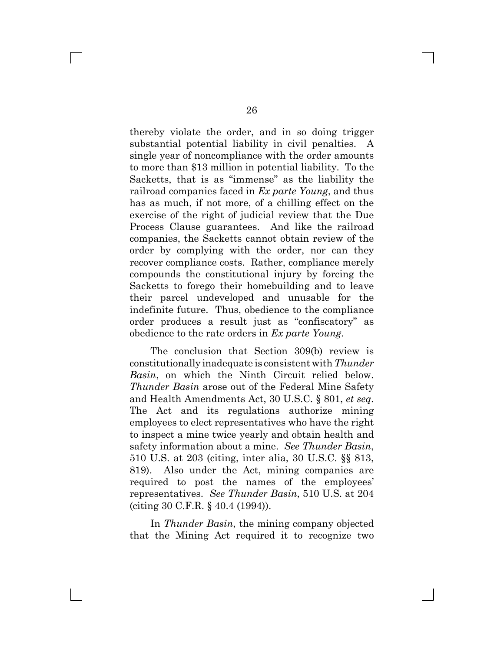thereby violate the order, and in so doing trigger substantial potential liability in civil penalties. A single year of noncompliance with the order amounts to more than \$13 million in potential liability. To the Sacketts, that is as "immense" as the liability the railroad companies faced in *Ex parte Young*, and thus has as much, if not more, of a chilling effect on the exercise of the right of judicial review that the Due Process Clause guarantees. And like the railroad companies, the Sacketts cannot obtain review of the order by complying with the order, nor can they recover compliance costs. Rather, compliance merely compounds the constitutional injury by forcing the Sacketts to forego their homebuilding and to leave their parcel undeveloped and unusable for the indefinite future. Thus, obedience to the compliance order produces a result just as "confiscatory" as obedience to the rate orders in *Ex parte Young*.

The conclusion that Section 309(b) review is constitutionally inadequate is consistent with *Thunder Basin*, on which the Ninth Circuit relied below. *Thunder Basin* arose out of the Federal Mine Safety and Health Amendments Act, 30 U.S.C. § 801, *et seq*. The Act and its regulations authorize mining employees to elect representatives who have the right to inspect a mine twice yearly and obtain health and safety information about a mine. *See Thunder Basin*, 510 U.S. at 203 (citing, inter alia, 30 U.S.C. §§ 813, 819). Also under the Act, mining companies are required to post the names of the employees' representatives. *See Thunder Basin*, 510 U.S. at 204 (citing 30 C.F.R. § 40.4 (1994)).

In *Thunder Basin*, the mining company objected that the Mining Act required it to recognize two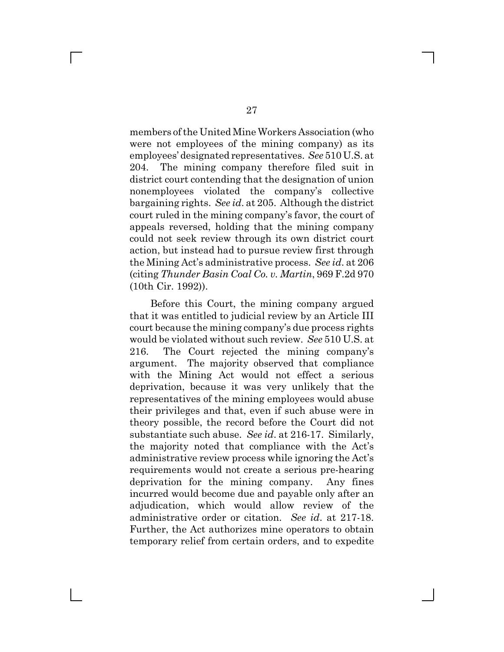members of the United Mine Workers Association (who were not employees of the mining company) as its employees' designated representatives. *See* 510 U.S. at 204. The mining company therefore filed suit in district court contending that the designation of union nonemployees violated the company's collective bargaining rights. *See id*. at 205. Although the district court ruled in the mining company's favor, the court of appeals reversed, holding that the mining company could not seek review through its own district court action, but instead had to pursue review first through the Mining Act's administrative process. *See id*. at 206 (citing *Thunder Basin Coal Co. v. Martin*, 969 F.2d 970 (10th Cir. 1992)).

Before this Court, the mining company argued that it was entitled to judicial review by an Article III court because the mining company's due process rights would be violated without such review. *See* 510 U.S. at 216. The Court rejected the mining company's argument. The majority observed that compliance with the Mining Act would not effect a serious deprivation, because it was very unlikely that the representatives of the mining employees would abuse their privileges and that, even if such abuse were in theory possible, the record before the Court did not substantiate such abuse. *See id*. at 216-17. Similarly, the majority noted that compliance with the Act's administrative review process while ignoring the Act's requirements would not create a serious pre-hearing deprivation for the mining company. Any fines incurred would become due and payable only after an adjudication, which would allow review of the administrative order or citation. *See id*. at 217-18. Further, the Act authorizes mine operators to obtain temporary relief from certain orders, and to expedite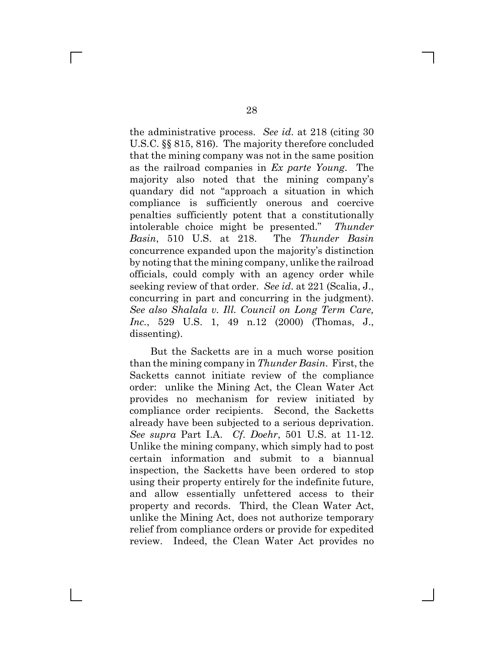the administrative process. *See id*. at 218 (citing 30 U.S.C. §§ 815, 816). The majority therefore concluded that the mining company was not in the same position as the railroad companies in *Ex parte Young*. The majority also noted that the mining company's quandary did not "approach a situation in which compliance is sufficiently onerous and coercive penalties sufficiently potent that a constitutionally intolerable choice might be presented." *Thunder Basin*, 510 U.S. at 218. The *Thunder Basin* concurrence expanded upon the majority's distinction by noting that the mining company, unlike the railroad officials, could comply with an agency order while seeking review of that order. *See id*. at 221 (Scalia, J., concurring in part and concurring in the judgment). *See also Shalala v. Ill. Council on Long Term Care, Inc.*, 529 U.S. 1, 49 n.12 (2000) (Thomas, J., dissenting).

But the Sacketts are in a much worse position than the mining company in *Thunder Basin*. First, the Sacketts cannot initiate review of the compliance order: unlike the Mining Act, the Clean Water Act provides no mechanism for review initiated by compliance order recipients. Second, the Sacketts already have been subjected to a serious deprivation. *See supra* Part I.A. *Cf*. *Doehr*, 501 U.S. at 11-12. Unlike the mining company, which simply had to post certain information and submit to a biannual inspection, the Sacketts have been ordered to stop using their property entirely for the indefinite future, and allow essentially unfettered access to their property and records. Third, the Clean Water Act, unlike the Mining Act, does not authorize temporary relief from compliance orders or provide for expedited review. Indeed, the Clean Water Act provides no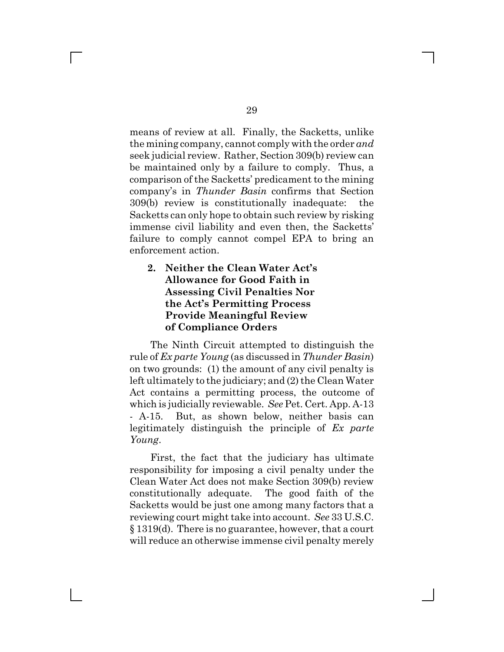means of review at all. Finally, the Sacketts, unlike the mining company, cannot comply with the order *and* seek judicial review. Rather, Section 309(b) review can be maintained only by a failure to comply. Thus, a comparison of the Sacketts' predicament to the mining company's in *Thunder Basin* confirms that Section 309(b) review is constitutionally inadequate: the Sacketts can only hope to obtain such review by risking immense civil liability and even then, the Sacketts' failure to comply cannot compel EPA to bring an enforcement action.

## **2. Neither the Clean Water Act's Allowance for Good Faith in Assessing Civil Penalties Nor the Act's Permitting Process Provide Meaningful Review of Compliance Orders**

The Ninth Circuit attempted to distinguish the rule of *Ex parte Young* (as discussed in *Thunder Basin*) on two grounds: (1) the amount of any civil penalty is left ultimately to the judiciary; and (2) the Clean Water Act contains a permitting process, the outcome of which is judicially reviewable. *See* Pet. Cert. App. A-13 - A-15. But, as shown below, neither basis can legitimately distinguish the principle of *Ex parte Young*.

First, the fact that the judiciary has ultimate responsibility for imposing a civil penalty under the Clean Water Act does not make Section 309(b) review constitutionally adequate. The good faith of the Sacketts would be just one among many factors that a reviewing court might take into account. *See* 33 U.S.C. § 1319(d). There is no guarantee, however, that a court will reduce an otherwise immense civil penalty merely

 $\mathbb{R}^n$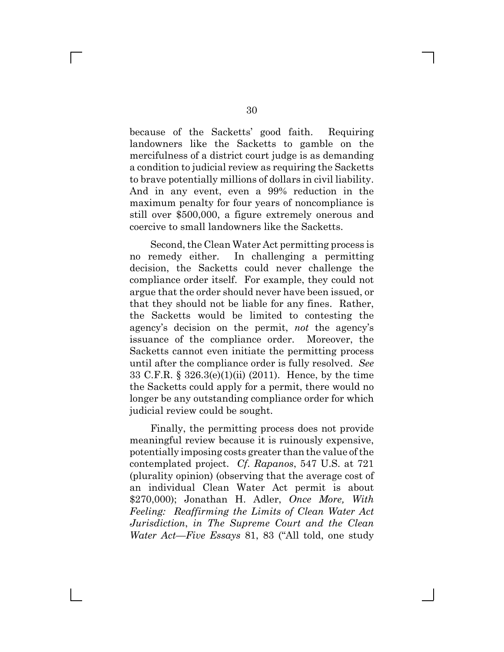because of the Sacketts' good faith. Requiring landowners like the Sacketts to gamble on the mercifulness of a district court judge is as demanding a condition to judicial review as requiring the Sacketts to brave potentially millions of dollars in civil liability. And in any event, even a 99% reduction in the maximum penalty for four years of noncompliance is still over \$500,000, a figure extremely onerous and coercive to small landowners like the Sacketts.

Second, the Clean Water Act permitting process is no remedy either. In challenging a permitting decision, the Sacketts could never challenge the compliance order itself. For example, they could not argue that the order should never have been issued, or that they should not be liable for any fines. Rather, the Sacketts would be limited to contesting the agency's decision on the permit, *not* the agency's issuance of the compliance order. Moreover, the Sacketts cannot even initiate the permitting process until after the compliance order is fully resolved. *See* 33 C.F.R. § 326.3(e)(1)(ii) (2011). Hence, by the time the Sacketts could apply for a permit, there would no longer be any outstanding compliance order for which judicial review could be sought.

Finally, the permitting process does not provide meaningful review because it is ruinously expensive, potentially imposing costs greater than the value of the contemplated project. *Cf*. *Rapanos*, 547 U.S. at 721 (plurality opinion) (observing that the average cost of an individual Clean Water Act permit is about \$270,000); Jonathan H. Adler, *Once More, With Feeling: Reaffirming the Limits of Clean Water Act Jurisdiction*, *in The Supreme Court and the Clean Water Act—Five Essays* 81, 83 ("All told, one study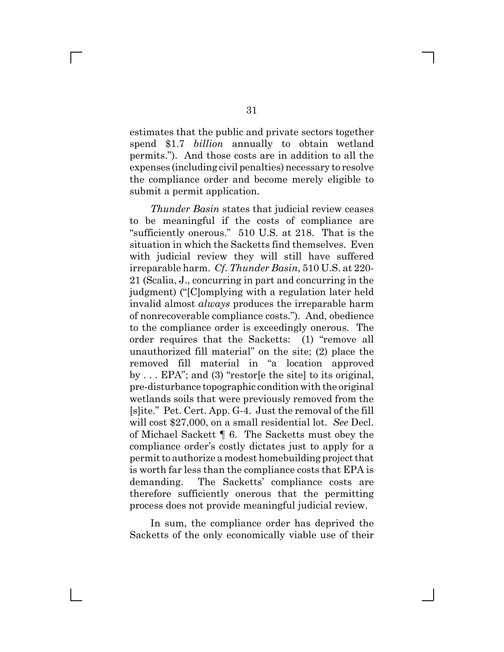estimates that the public and private sectors together spend \$1.7 *billion* annually to obtain wetland permits."). And those costs are in addition to all the expenses (including civil penalties) necessary to resolve the compliance order and become merely eligible to submit a permit application.

*Thunder Basin* states that judicial review ceases to be meaningful if the costs of compliance are "sufficiently onerous." 510 U.S. at 218. That is the situation in which the Sacketts find themselves. Even with judicial review they will still have suffered irreparable harm. *Cf*. *Thunder Basin*, 510 U.S. at 220- 21 (Scalia, J., concurring in part and concurring in the judgment) ("[C]omplying with a regulation later held invalid almost *always* produces the irreparable harm of nonrecoverable compliance costs."). And, obedience to the compliance order is exceedingly onerous. The order requires that the Sacketts: (1) "remove all unauthorized fill material" on the site; (2) place the removed fill material in "a location approved by . . . EPA"; and (3) "restor[e the site] to its original, pre-disturbance topographic condition with the original wetlands soils that were previously removed from the [s]ite." Pet. Cert. App. G-4. Just the removal of the fill will cost \$27,000, on a small residential lot. *See* Decl. of Michael Sackett ¶ 6. The Sacketts must obey the compliance order's costly dictates just to apply for a permit to authorize a modest homebuilding project that is worth far less than the compliance costs that EPA is demanding. The Sacketts' compliance costs are therefore sufficiently onerous that the permitting process does not provide meaningful judicial review.

In sum, the compliance order has deprived the Sacketts of the only economically viable use of their

 $\Box$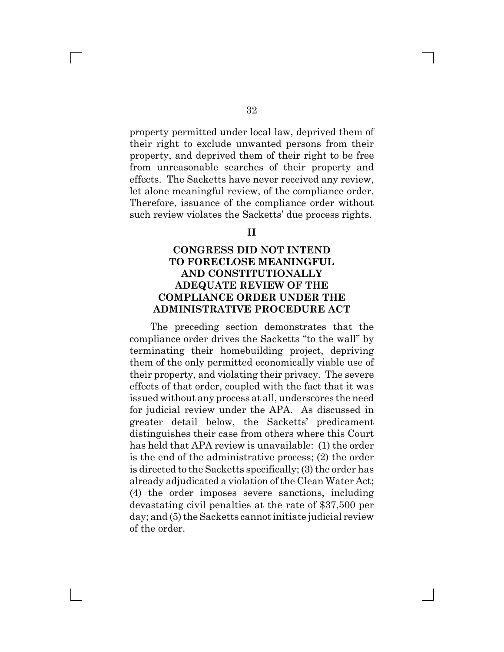property permitted under local law, deprived them of their right to exclude unwanted persons from their property, and deprived them of their right to be free from unreasonable searches of their property and effects. The Sacketts have never received any review, let alone meaningful review, of the compliance order. Therefore, issuance of the compliance order without such review violates the Sacketts' due process rights.

#### **II**

## **CONGRESS DID NOT INTEND TO FORECLOSE MEANINGFUL AND CONSTITUTIONALLY ADEQUATE REVIEW OF THE COMPLIANCE ORDER UNDER THE ADMINISTRATIVE PROCEDURE ACT**

The preceding section demonstrates that the compliance order drives the Sacketts "to the wall" by terminating their homebuilding project, depriving them of the only permitted economically viable use of their property, and violating their privacy. The severe effects of that order, coupled with the fact that it was issued without any process at all, underscores the need for judicial review under the APA. As discussed in greater detail below, the Sacketts' predicament distinguishes their case from others where this Court has held that APA review is unavailable: (1) the order is the end of the administrative process; (2) the order is directed to the Sacketts specifically; (3) the order has already adjudicated a violation of the Clean Water Act; (4) the order imposes severe sanctions, including devastating civil penalties at the rate of \$37,500 per day; and (5) the Sacketts cannot initiate judicial review of the order.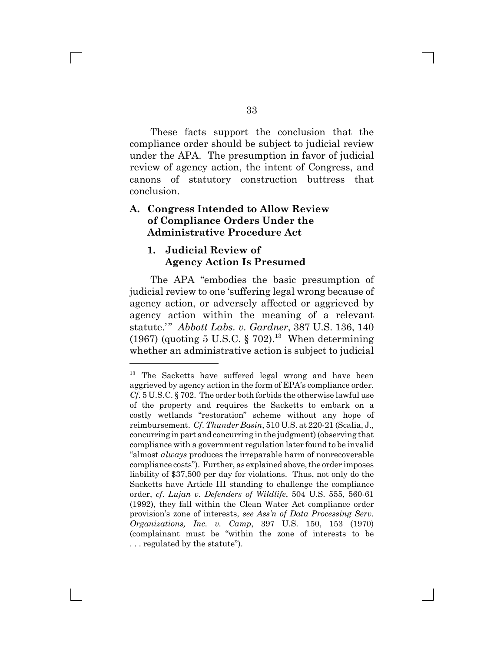These facts support the conclusion that the compliance order should be subject to judicial review under the APA. The presumption in favor of judicial review of agency action, the intent of Congress, and canons of statutory construction buttress that conclusion.

## **A. Congress Intended to Allow Review of Compliance Orders Under the Administrative Procedure Act**

#### **1. Judicial Review of Agency Action Is Presumed**

The APA "embodies the basic presumption of judicial review to one 'suffering legal wrong because of agency action, or adversely affected or aggrieved by agency action within the meaning of a relevant statute.'" *Abbott Labs. v. Gardner*, 387 U.S. 136, 140 (1967) (quoting 5 U.S.C. § 702).<sup>13</sup> When determining whether an administrative action is subject to judicial

<sup>&</sup>lt;sup>13</sup> The Sacketts have suffered legal wrong and have been aggrieved by agency action in the form of EPA's compliance order. *Cf*. 5 U.S.C. § 702. The order both forbids the otherwise lawful use of the property and requires the Sacketts to embark on a costly wetlands "restoration" scheme without any hope of reimbursement. *Cf*. *Thunder Basin*, 510 U.S. at 220-21 (Scalia, J., concurring in part and concurring in the judgment) (observing that compliance with a government regulation later found to be invalid "almost *always* produces the irreparable harm of nonrecoverable compliance costs"). Further, as explained above, the order imposes liability of \$37,500 per day for violations. Thus, not only do the Sacketts have Article III standing to challenge the compliance order, *cf*. *Lujan v. Defenders of Wildlife*, 504 U.S. 555, 560-61 (1992), they fall within the Clean Water Act compliance order provision's zone of interests, *see Ass'n of Data Processing Serv. Organizations, Inc. v. Camp*, 397 U.S. 150, 153 (1970) (complainant must be "within the zone of interests to be . . . regulated by the statute").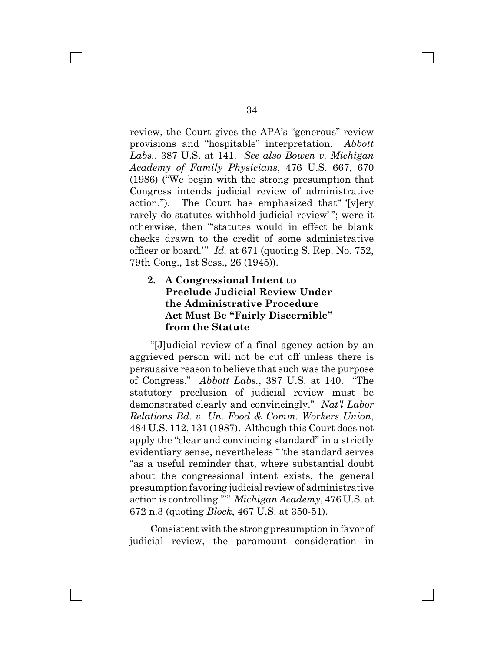review, the Court gives the APA's "generous" review provisions and "hospitable" interpretation. *Abbott Labs.*, 387 U.S. at 141. *See also Bowen v. Michigan Academy of Family Physicians*, 476 U.S. 667, 670 (1986) ("We begin with the strong presumption that Congress intends judicial review of administrative action."). The Court has emphasized that" '[v]ery rarely do statutes withhold judicial review"; were it otherwise, then "'statutes would in effect be blank checks drawn to the credit of some administrative officer or board.'" *Id.* at 671 (quoting S. Rep. No. 752, 79th Cong., 1st Sess., 26 (1945)).

# **2. A Congressional Intent to Preclude Judicial Review Under the Administrative Procedure Act Must Be "Fairly Discernible" from the Statute**

"[J]udicial review of a final agency action by an aggrieved person will not be cut off unless there is persuasive reason to believe that such was the purpose of Congress." *Abbott Labs.*, 387 U.S. at 140. "The statutory preclusion of judicial review must be demonstrated clearly and convincingly." *Nat'l Labor Relations Bd. v. Un. Food & Comm. Workers Union*, 484 U.S. 112, 131 (1987). Although this Court does not apply the "clear and convincing standard" in a strictly evidentiary sense, nevertheless "'the standard serves "as a useful reminder that, where substantial doubt about the congressional intent exists, the general presumption favoring judicial review of administrative action is controlling."'" *Michigan Academy*, 476 U.S. at 672 n.3 (quoting *Block*, 467 U.S. at 350-51).

Consistent with the strong presumption in favor of judicial review, the paramount consideration in

 $\mathbb{R}^n$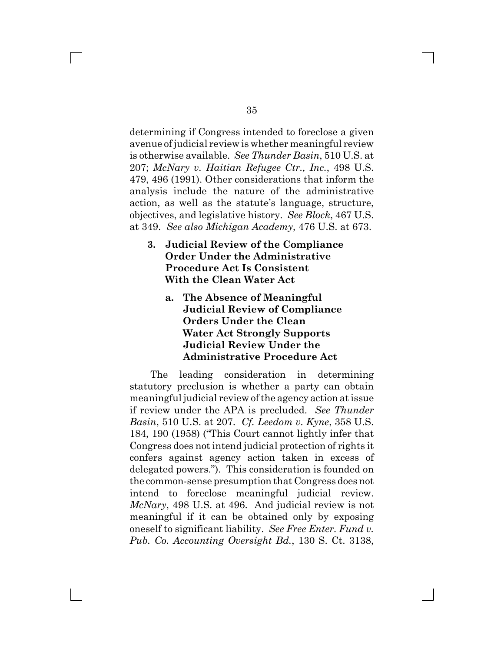determining if Congress intended to foreclose a given avenue of judicial review is whether meaningful review is otherwise available. *See Thunder Basin*, 510 U.S. at 207; *McNary v. Haitian Refugee Ctr., Inc.*, 498 U.S. 479, 496 (1991). Other considerations that inform the analysis include the nature of the administrative action, as well as the statute's language, structure, objectives, and legislative history. *See Block*, 467 U.S. at 349. *See also Michigan Academy*, 476 U.S. at 673.

- **3. Judicial Review of the Compliance Order Under the Administrative Procedure Act Is Consistent With the Clean Water Act**
	- **a. The Absence of Meaningful Judicial Review of Compliance Orders Under the Clean Water Act Strongly Supports Judicial Review Under the Administrative Procedure Act**

The leading consideration in determining statutory preclusion is whether a party can obtain meaningful judicial review of the agency action at issue if review under the APA is precluded. *See Thunder Basin*, 510 U.S. at 207. *Cf. Leedom v. Kyne*, 358 U.S. 184, 190 (1958) ("This Court cannot lightly infer that Congress does not intend judicial protection of rights it confers against agency action taken in excess of delegated powers."). This consideration is founded on the common-sense presumption that Congress does not intend to foreclose meaningful judicial review. *McNary*, 498 U.S. at 496. And judicial review is not meaningful if it can be obtained only by exposing oneself to significant liability. *See Free Enter. Fund v. Pub. Co. Accounting Oversight Bd.*, 130 S. Ct. 3138,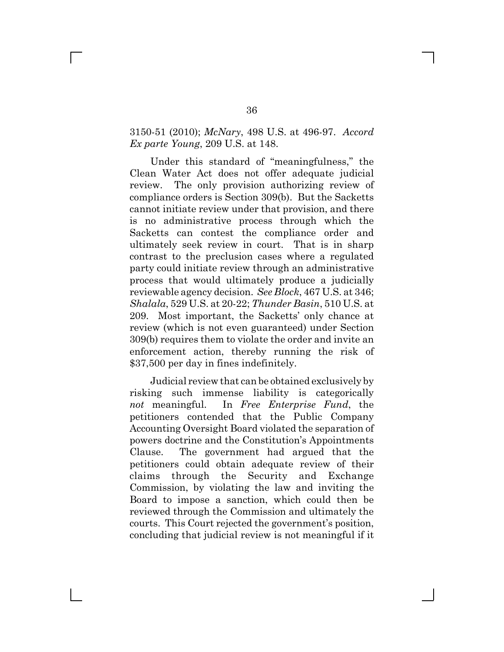#### 3150-51 (2010); *McNary*, 498 U.S. at 496-97. *Accord Ex parte Young*, 209 U.S. at 148.

Under this standard of "meaningfulness," the Clean Water Act does not offer adequate judicial review. The only provision authorizing review of compliance orders is Section 309(b). But the Sacketts cannot initiate review under that provision, and there is no administrative process through which the Sacketts can contest the compliance order and ultimately seek review in court. That is in sharp contrast to the preclusion cases where a regulated party could initiate review through an administrative process that would ultimately produce a judicially reviewable agency decision. *See Block*, 467 U.S. at 346; *Shalala*, 529 U.S. at 20-22; *Thunder Basin*, 510 U.S. at 209. Most important, the Sacketts' only chance at review (which is not even guaranteed) under Section 309(b) requires them to violate the order and invite an enforcement action, thereby running the risk of \$37,500 per day in fines indefinitely.

Judicial review that can be obtained exclusively by risking such immense liability is categorically *not* meaningful. In *Free Enterprise Fund*, the petitioners contended that the Public Company Accounting Oversight Board violated the separation of powers doctrine and the Constitution's Appointments Clause. The government had argued that the petitioners could obtain adequate review of their claims through the Security and Exchange Commission, by violating the law and inviting the Board to impose a sanction, which could then be reviewed through the Commission and ultimately the courts. This Court rejected the government's position, concluding that judicial review is not meaningful if it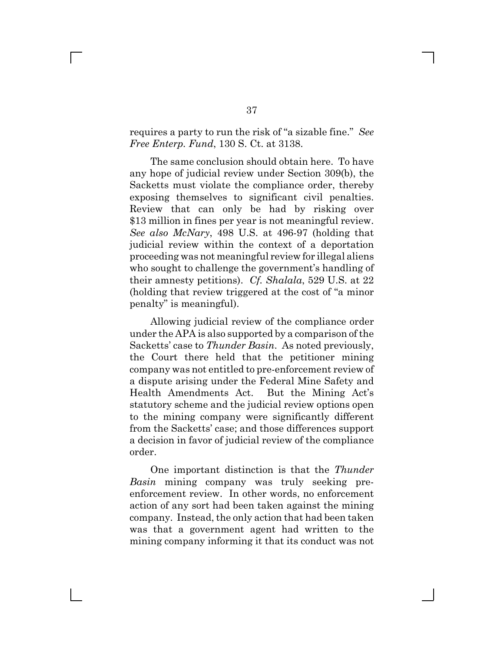requires a party to run the risk of "a sizable fine." *See Free Enterp. Fund*, 130 S. Ct. at 3138.

The same conclusion should obtain here. To have any hope of judicial review under Section 309(b), the Sacketts must violate the compliance order, thereby exposing themselves to significant civil penalties. Review that can only be had by risking over \$13 million in fines per year is not meaningful review. *See also McNary*, 498 U.S. at 496-97 (holding that judicial review within the context of a deportation proceeding was not meaningful review for illegal aliens who sought to challenge the government's handling of their amnesty petitions). *Cf. Shalala*, 529 U.S. at 22 (holding that review triggered at the cost of "a minor penalty" is meaningful).

Allowing judicial review of the compliance order under the APA is also supported by a comparison of the Sacketts' case to *Thunder Basin*. As noted previously, the Court there held that the petitioner mining company was not entitled to pre-enforcement review of a dispute arising under the Federal Mine Safety and Health Amendments Act. But the Mining Act's statutory scheme and the judicial review options open to the mining company were significantly different from the Sacketts' case; and those differences support a decision in favor of judicial review of the compliance order.

One important distinction is that the *Thunder Basin* mining company was truly seeking preenforcement review. In other words, no enforcement action of any sort had been taken against the mining company. Instead, the only action that had been taken was that a government agent had written to the mining company informing it that its conduct was not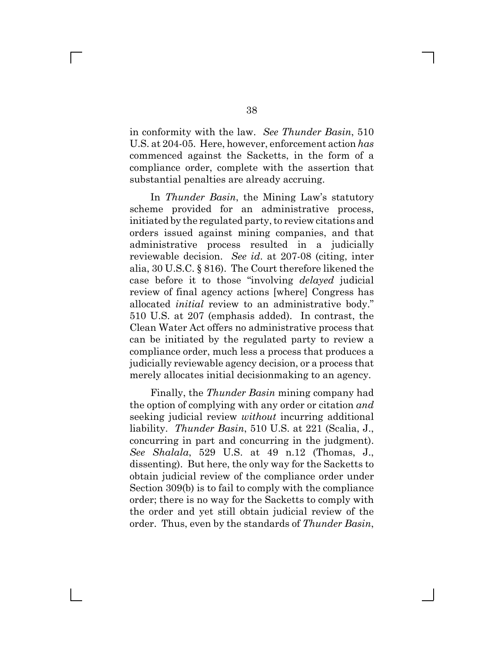in conformity with the law. *See Thunder Basin*, 510 U.S. at 204-05. Here, however, enforcement action *has* commenced against the Sacketts, in the form of a compliance order, complete with the assertion that substantial penalties are already accruing.

In *Thunder Basin*, the Mining Law's statutory scheme provided for an administrative process, initiated by the regulated party, to review citations and orders issued against mining companies, and that administrative process resulted in a judicially reviewable decision. *See id*. at 207-08 (citing, inter alia, 30 U.S.C. § 816). The Court therefore likened the case before it to those "involving *delayed* judicial review of final agency actions [where] Congress has allocated *initial* review to an administrative body." 510 U.S. at 207 (emphasis added). In contrast, the Clean Water Act offers no administrative process that can be initiated by the regulated party to review a compliance order, much less a process that produces a judicially reviewable agency decision, or a process that merely allocates initial decisionmaking to an agency.

Finally, the *Thunder Basin* mining company had the option of complying with any order or citation *and* seeking judicial review *without* incurring additional liability. *Thunder Basin*, 510 U.S. at 221 (Scalia, J., concurring in part and concurring in the judgment). *See Shalala*, 529 U.S. at 49 n.12 (Thomas, J., dissenting). But here, the only way for the Sacketts to obtain judicial review of the compliance order under Section 309(b) is to fail to comply with the compliance order; there is no way for the Sacketts to comply with the order and yet still obtain judicial review of the order. Thus, even by the standards of *Thunder Basin*,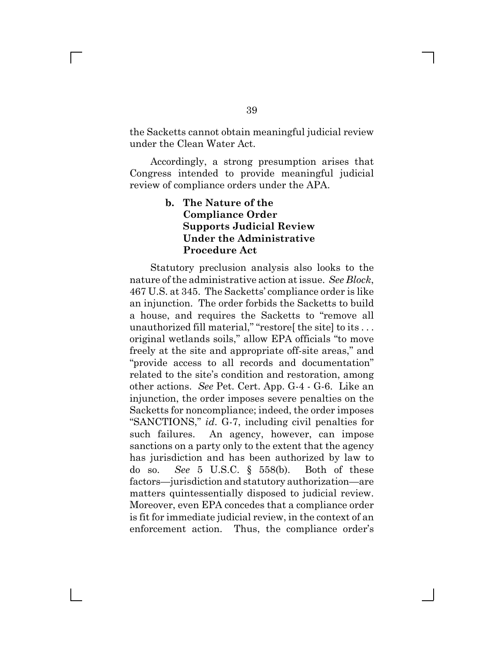the Sacketts cannot obtain meaningful judicial review under the Clean Water Act.

Accordingly, a strong presumption arises that Congress intended to provide meaningful judicial review of compliance orders under the APA.

# **b. The Nature of the Compliance Order Supports Judicial Review Under the Administrative Procedure Act**

Statutory preclusion analysis also looks to the nature of the administrative action at issue. *See Block*, 467 U.S. at 345. The Sacketts' compliance order is like an injunction. The order forbids the Sacketts to build a house, and requires the Sacketts to "remove all unauthorized fill material," "restore [the site] to its ... original wetlands soils," allow EPA officials "to move freely at the site and appropriate off-site areas," and "provide access to all records and documentation" related to the site's condition and restoration, among other actions. *See* Pet. Cert. App. G-4 - G-6. Like an injunction, the order imposes severe penalties on the Sacketts for noncompliance; indeed, the order imposes "SANCTIONS," *id*. G-7, including civil penalties for such failures. An agency, however, can impose sanctions on a party only to the extent that the agency has jurisdiction and has been authorized by law to do so. *See* 5 U.S.C. § 558(b). Both of these factors—jurisdiction and statutory authorization—are matters quintessentially disposed to judicial review. Moreover, even EPA concedes that a compliance order is fit for immediate judicial review, in the context of an enforcement action. Thus, the compliance order's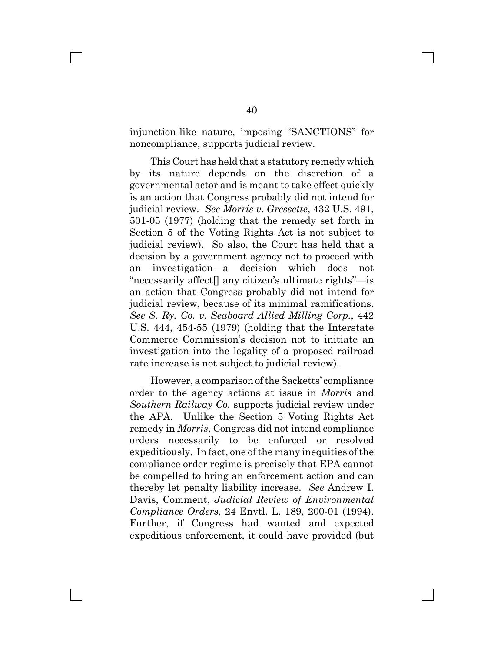injunction-like nature, imposing "SANCTIONS" for noncompliance, supports judicial review.

This Court has held that a statutory remedy which by its nature depends on the discretion of a governmental actor and is meant to take effect quickly is an action that Congress probably did not intend for judicial review. *See Morris v. Gressette*, 432 U.S. 491, 501-05 (1977) (holding that the remedy set forth in Section 5 of the Voting Rights Act is not subject to judicial review). So also, the Court has held that a decision by a government agency not to proceed with an investigation—a decision which does not "necessarily affect[] any citizen's ultimate rights"—is an action that Congress probably did not intend for judicial review, because of its minimal ramifications. *See S. Ry. Co. v. Seaboard Allied Milling Corp.*, 442 U.S. 444, 454-55 (1979) (holding that the Interstate Commerce Commission's decision not to initiate an investigation into the legality of a proposed railroad rate increase is not subject to judicial review).

However, a comparison of the Sacketts' compliance order to the agency actions at issue in *Morris* and *Southern Railway Co.* supports judicial review under the APA. Unlike the Section 5 Voting Rights Act remedy in *Morris*, Congress did not intend compliance orders necessarily to be enforced or resolved expeditiously. In fact, one of the many inequities of the compliance order regime is precisely that EPA cannot be compelled to bring an enforcement action and can thereby let penalty liability increase. *See* Andrew I. Davis, Comment, *Judicial Review of Environmental Compliance Orders*, 24 Envtl. L. 189, 200-01 (1994). Further, if Congress had wanted and expected expeditious enforcement, it could have provided (but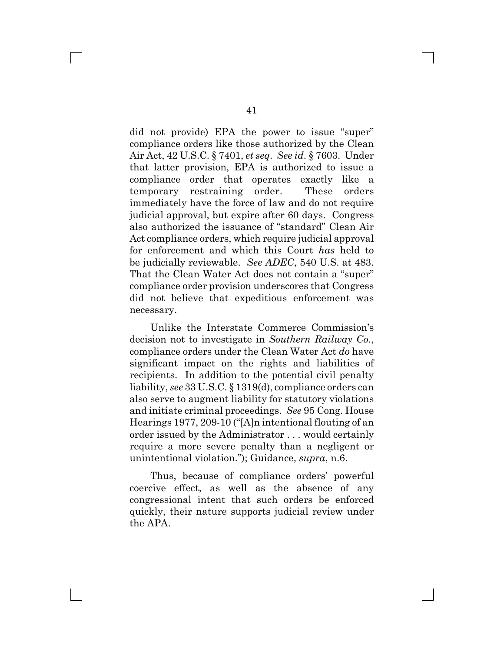did not provide) EPA the power to issue "super" compliance orders like those authorized by the Clean Air Act, 42 U.S.C. § 7401, *et seq*. *See id*. § 7603. Under that latter provision, EPA is authorized to issue a compliance order that operates exactly like a temporary restraining order. These orders immediately have the force of law and do not require judicial approval, but expire after 60 days. Congress also authorized the issuance of "standard" Clean Air Act compliance orders, which require judicial approval for enforcement and which this Court *has* held to be judicially reviewable. *See ADEC*, 540 U.S. at 483. That the Clean Water Act does not contain a "super" compliance order provision underscores that Congress did not believe that expeditious enforcement was necessary.

Unlike the Interstate Commerce Commission's decision not to investigate in *Southern Railway Co.*, compliance orders under the Clean Water Act *do* have significant impact on the rights and liabilities of recipients. In addition to the potential civil penalty liability, *see* 33 U.S.C. § 1319(d), compliance orders can also serve to augment liability for statutory violations and initiate criminal proceedings. *See* 95 Cong. House Hearings 1977, 209-10 ("[A]n intentional flouting of an order issued by the Administrator . . . would certainly require a more severe penalty than a negligent or unintentional violation."); Guidance, *supra*, n.6.

Thus, because of compliance orders' powerful coercive effect, as well as the absence of any congressional intent that such orders be enforced quickly, their nature supports judicial review under the APA.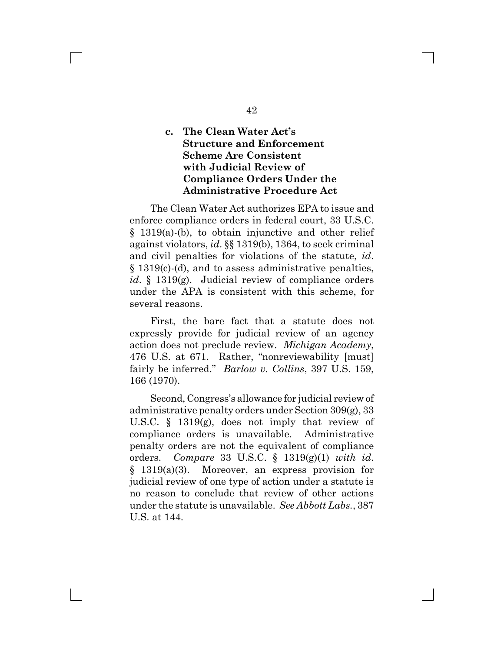# **c. The Clean Water Act's Structure and Enforcement Scheme Are Consistent with Judicial Review of Compliance Orders Under the Administrative Procedure Act**

The Clean Water Act authorizes EPA to issue and enforce compliance orders in federal court, 33 U.S.C. § 1319(a)-(b), to obtain injunctive and other relief against violators, *id*. §§ 1319(b), 1364, to seek criminal and civil penalties for violations of the statute, *id*. § 1319(c)-(d), and to assess administrative penalties, *id*. § 1319(g). Judicial review of compliance orders under the APA is consistent with this scheme, for several reasons.

First, the bare fact that a statute does not expressly provide for judicial review of an agency action does not preclude review. *Michigan Academy*, 476 U.S. at 671. Rather, "nonreviewability [must] fairly be inferred." *Barlow v. Collins*, 397 U.S. 159, 166 (1970).

Second, Congress's allowance for judicial review of administrative penalty orders under Section 309(g), 33 U.S.C. § 1319(g), does not imply that review of compliance orders is unavailable. Administrative penalty orders are not the equivalent of compliance orders. *Compare* 33 U.S.C. § 1319(g)(1) *with id*. § 1319(a)(3). Moreover, an express provision for judicial review of one type of action under a statute is no reason to conclude that review of other actions under the statute is unavailable. *See Abbott Labs.*, 387 U.S. at 144.

42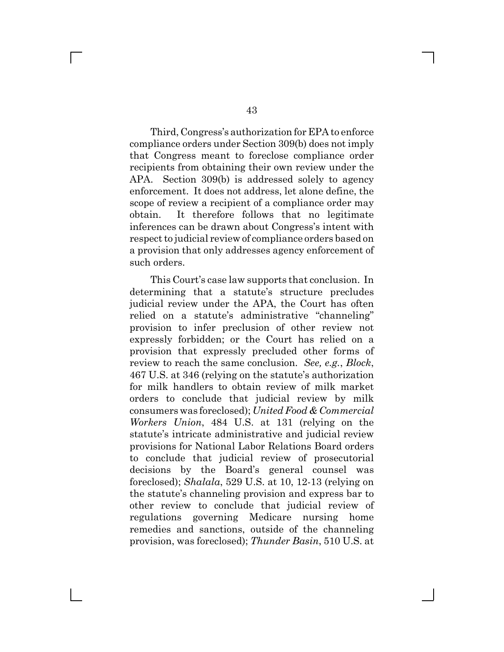Third, Congress's authorization for EPA to enforce compliance orders under Section 309(b) does not imply that Congress meant to foreclose compliance order recipients from obtaining their own review under the APA. Section 309(b) is addressed solely to agency enforcement. It does not address, let alone define, the scope of review a recipient of a compliance order may obtain. It therefore follows that no legitimate inferences can be drawn about Congress's intent with respect to judicial review of compliance orders based on a provision that only addresses agency enforcement of such orders.

This Court's case law supports that conclusion. In determining that a statute's structure precludes judicial review under the APA, the Court has often relied on a statute's administrative "channeling" provision to infer preclusion of other review not expressly forbidden; or the Court has relied on a provision that expressly precluded other forms of review to reach the same conclusion. *See, e.g.*, *Block*, 467 U.S. at 346 (relying on the statute's authorization for milk handlers to obtain review of milk market orders to conclude that judicial review by milk consumers was foreclosed); *United Food & Commercial Workers Union*, 484 U.S. at 131 (relying on the statute's intricate administrative and judicial review provisions for National Labor Relations Board orders to conclude that judicial review of prosecutorial decisions by the Board's general counsel was foreclosed); *Shalala*, 529 U.S. at 10, 12-13 (relying on the statute's channeling provision and express bar to other review to conclude that judicial review of regulations governing Medicare nursing home remedies and sanctions, outside of the channeling provision, was foreclosed); *Thunder Basin*, 510 U.S. at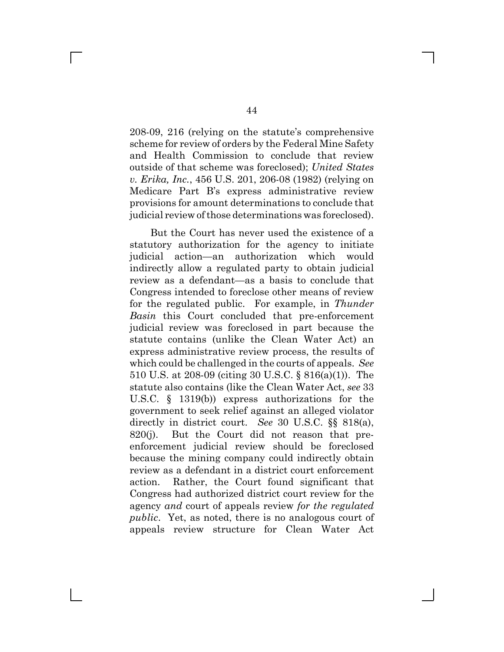208-09, 216 (relying on the statute's comprehensive scheme for review of orders by the Federal Mine Safety and Health Commission to conclude that review outside of that scheme was foreclosed); *United States v. Erika, Inc.*, 456 U.S. 201, 206-08 (1982) (relying on Medicare Part B's express administrative review provisions for amount determinations to conclude that judicial review of those determinations was foreclosed).

But the Court has never used the existence of a statutory authorization for the agency to initiate judicial action—an authorization which would indirectly allow a regulated party to obtain judicial review as a defendant—as a basis to conclude that Congress intended to foreclose other means of review for the regulated public. For example, in *Thunder Basin* this Court concluded that pre-enforcement judicial review was foreclosed in part because the statute contains (unlike the Clean Water Act) an express administrative review process, the results of which could be challenged in the courts of appeals. *See* 510 U.S. at 208-09 (citing 30 U.S.C. § 816(a)(1)). The statute also contains (like the Clean Water Act, *see* 33 U.S.C. § 1319(b)) express authorizations for the government to seek relief against an alleged violator directly in district court. *See* 30 U.S.C. §§ 818(a), 820(j). But the Court did not reason that preenforcement judicial review should be foreclosed because the mining company could indirectly obtain review as a defendant in a district court enforcement action. Rather, the Court found significant that Congress had authorized district court review for the agency *and* court of appeals review *for the regulated public*. Yet, as noted, there is no analogous court of appeals review structure for Clean Water Act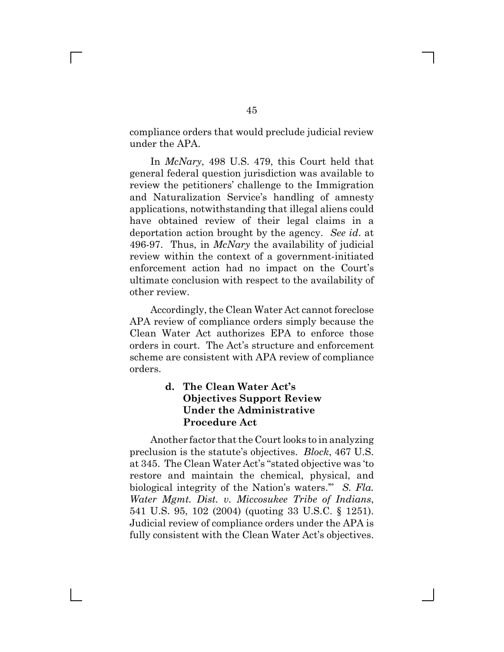compliance orders that would preclude judicial review under the APA.

In *McNary*, 498 U.S. 479, this Court held that general federal question jurisdiction was available to review the petitioners' challenge to the Immigration and Naturalization Service's handling of amnesty applications, notwithstanding that illegal aliens could have obtained review of their legal claims in a deportation action brought by the agency. *See id*. at 496-97. Thus, in *McNary* the availability of judicial review within the context of a government-initiated enforcement action had no impact on the Court's ultimate conclusion with respect to the availability of other review.

Accordingly, the Clean Water Act cannot foreclose APA review of compliance orders simply because the Clean Water Act authorizes EPA to enforce those orders in court. The Act's structure and enforcement scheme are consistent with APA review of compliance orders.

#### **d. The Clean Water Act's Objectives Support Review Under the Administrative Procedure Act**

Another factor that the Court looks to in analyzing preclusion is the statute's objectives. *Block*, 467 U.S. at 345. The Clean Water Act's "stated objective was 'to restore and maintain the chemical, physical, and biological integrity of the Nation's waters.'" *S. Fla. Water Mgmt. Dist. v. Miccosukee Tribe of Indians*, 541 U.S. 95, 102 (2004) (quoting 33 U.S.C. § 1251). Judicial review of compliance orders under the APA is fully consistent with the Clean Water Act's objectives.

 $\mathbb{R}^n$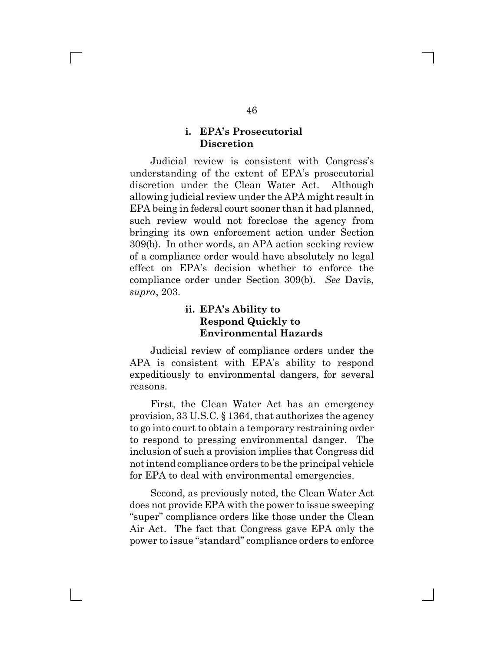#### **i. EPA's Prosecutorial Discretion**

 $\mathbf{L}$ 

Judicial review is consistent with Congress's understanding of the extent of EPA's prosecutorial discretion under the Clean Water Act. Although allowing judicial review under the APA might result in EPA being in federal court sooner than it had planned, such review would not foreclose the agency from bringing its own enforcement action under Section 309(b). In other words, an APA action seeking review of a compliance order would have absolutely no legal effect on EPA's decision whether to enforce the compliance order under Section 309(b). *See* Davis, *supra*, 203.

### **ii. EPA's Ability to Respond Quickly to Environmental Hazards**

Judicial review of compliance orders under the APA is consistent with EPA's ability to respond expeditiously to environmental dangers, for several reasons.

First, the Clean Water Act has an emergency provision, 33 U.S.C. § 1364, that authorizes the agency to go into court to obtain a temporary restraining order to respond to pressing environmental danger. The inclusion of such a provision implies that Congress did not intend compliance orders to be the principal vehicle for EPA to deal with environmental emergencies.

Second, as previously noted, the Clean Water Act does not provide EPA with the power to issue sweeping "super" compliance orders like those under the Clean Air Act. The fact that Congress gave EPA only the power to issue "standard" compliance orders to enforce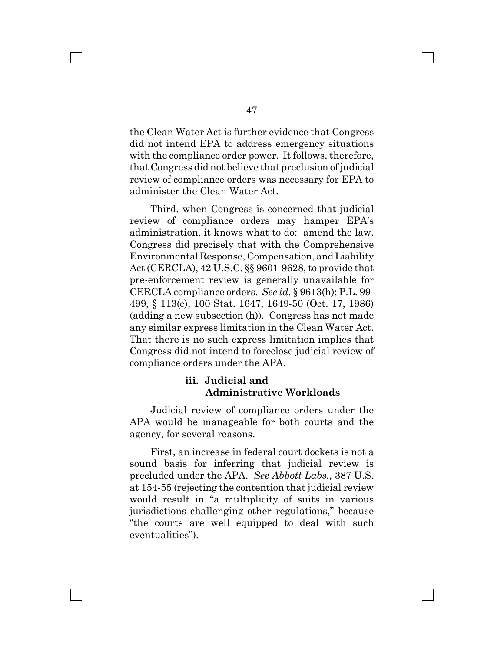the Clean Water Act is further evidence that Congress did not intend EPA to address emergency situations with the compliance order power. It follows, therefore, that Congress did not believe that preclusion of judicial review of compliance orders was necessary for EPA to administer the Clean Water Act.

Third, when Congress is concerned that judicial review of compliance orders may hamper EPA's administration, it knows what to do: amend the law. Congress did precisely that with the Comprehensive Environmental Response, Compensation, and Liability Act (CERCLA), 42 U.S.C. §§ 9601-9628, to provide that pre-enforcement review is generally unavailable for CERCLA compliance orders. *See id*. § 9613(h); P.L. 99- 499, § 113(c), 100 Stat. 1647, 1649-50 (Oct. 17, 1986) (adding a new subsection (h)). Congress has not made any similar express limitation in the Clean Water Act. That there is no such express limitation implies that Congress did not intend to foreclose judicial review of compliance orders under the APA.

## **iii. Judicial and Administrative Workloads**

Judicial review of compliance orders under the APA would be manageable for both courts and the agency, for several reasons.

First, an increase in federal court dockets is not a sound basis for inferring that judicial review is precluded under the APA. *See Abbott Labs.*, 387 U.S. at 154-55 (rejecting the contention that judicial review would result in "a multiplicity of suits in various jurisdictions challenging other regulations," because "the courts are well equipped to deal with such eventualities").

 $\mathbb{R}^n$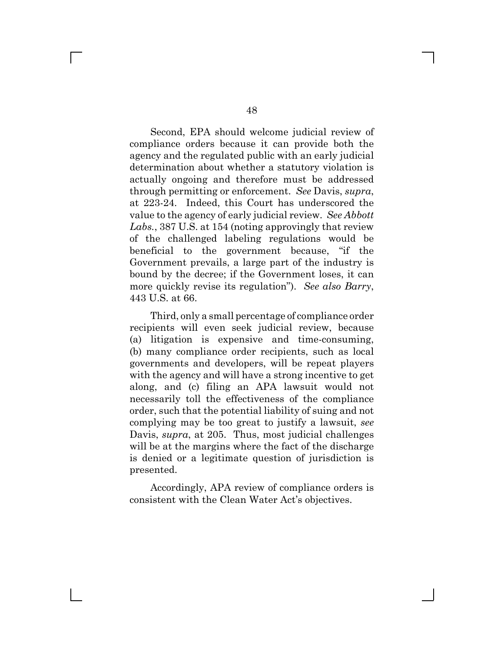Second, EPA should welcome judicial review of compliance orders because it can provide both the agency and the regulated public with an early judicial determination about whether a statutory violation is actually ongoing and therefore must be addressed through permitting or enforcement. *See* Davis, *supra*, at 223-24. Indeed, this Court has underscored the value to the agency of early judicial review. *See Abbott Labs.*, 387 U.S. at 154 (noting approvingly that review of the challenged labeling regulations would be beneficial to the government because, "if the Government prevails, a large part of the industry is bound by the decree; if the Government loses, it can more quickly revise its regulation"). *See also Barry*, 443 U.S. at 66.

Third, only a small percentage of compliance order recipients will even seek judicial review, because (a) litigation is expensive and time-consuming, (b) many compliance order recipients, such as local governments and developers, will be repeat players with the agency and will have a strong incentive to get along, and (c) filing an APA lawsuit would not necessarily toll the effectiveness of the compliance order, such that the potential liability of suing and not complying may be too great to justify a lawsuit, *see* Davis, *supra*, at 205. Thus, most judicial challenges will be at the margins where the fact of the discharge is denied or a legitimate question of jurisdiction is presented.

Accordingly, APA review of compliance orders is consistent with the Clean Water Act's objectives.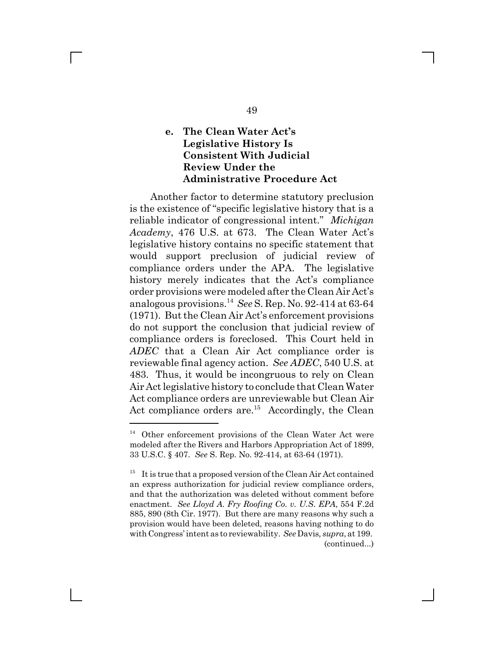# **e. The Clean Water Act's Legislative History Is Consistent With Judicial Review Under the Administrative Procedure Act**

Another factor to determine statutory preclusion is the existence of "specific legislative history that is a reliable indicator of congressional intent." *Michigan Academy*, 476 U.S. at 673. The Clean Water Act's legislative history contains no specific statement that would support preclusion of judicial review of compliance orders under the APA. The legislative history merely indicates that the Act's compliance order provisions were modeled after the Clean Air Act's analogous provisions.14 *See* S. Rep. No. 92-414 at 63-64 (1971). But the Clean Air Act's enforcement provisions do not support the conclusion that judicial review of compliance orders is foreclosed. This Court held in *ADEC* that a Clean Air Act compliance order is reviewable final agency action. *See ADEC*, 540 U.S. at 483. Thus, it would be incongruous to rely on Clean Air Act legislative history to conclude that Clean Water Act compliance orders are unreviewable but Clean Air Act compliance orders are.<sup>15</sup> Accordingly, the Clean

<sup>14</sup> Other enforcement provisions of the Clean Water Act were modeled after the Rivers and Harbors Appropriation Act of 1899, 33 U.S.C. § 407. *See* S. Rep. No. 92-414, at 63-64 (1971).

 $15$  It is true that a proposed version of the Clean Air Act contained an express authorization for judicial review compliance orders, and that the authorization was deleted without comment before enactment. *See Lloyd A. Fry Roofing Co. v. U.S. EPA*, 554 F.2d 885, 890 (8th Cir. 1977). But there are many reasons why such a provision would have been deleted, reasons having nothing to do with Congress' intent as to reviewability. *See* Davis*, supra*, at 199. (continued...)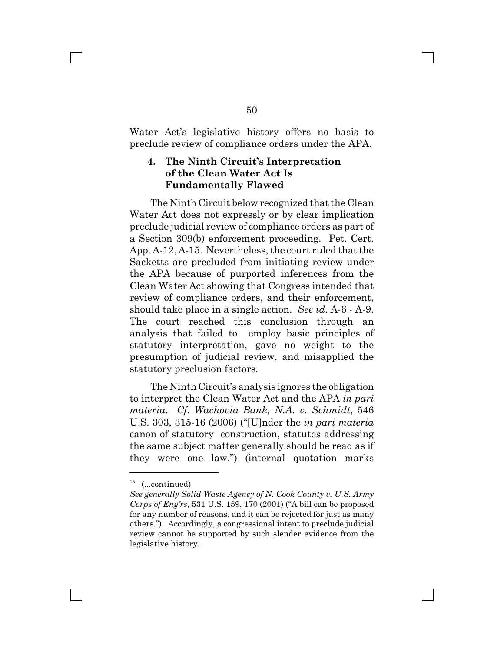Water Act's legislative history offers no basis to preclude review of compliance orders under the APA.

## **4. The Ninth Circuit's Interpretation of the Clean Water Act Is Fundamentally Flawed**

The Ninth Circuit below recognized that the Clean Water Act does not expressly or by clear implication preclude judicial review of compliance orders as part of a Section 309(b) enforcement proceeding. Pet. Cert. App. A-12, A-15. Nevertheless, the court ruled that the Sacketts are precluded from initiating review under the APA because of purported inferences from the Clean Water Act showing that Congress intended that review of compliance orders, and their enforcement, should take place in a single action. *See id*. A-6 - A-9. The court reached this conclusion through an analysis that failed to employ basic principles of statutory interpretation, gave no weight to the presumption of judicial review, and misapplied the statutory preclusion factors.

The Ninth Circuit's analysis ignores the obligation to interpret the Clean Water Act and the APA *in pari materia*. *Cf. Wachovia Bank, N.A. v. Schmidt*, 546 U.S. 303, 315-16 (2006) ("[U]nder the *in pari materia* canon of statutory construction, statutes addressing the same subject matter generally should be read as if they were one law.") (internal quotation marks

 $15$  (...continued)

*See generally Solid Waste Agency of N. Cook County v. U.S. Army Corps of Eng'rs*, 531 U.S. 159, 170 (2001) ("A bill can be proposed for any number of reasons, and it can be rejected for just as many others."). Accordingly, a congressional intent to preclude judicial review cannot be supported by such slender evidence from the legislative history.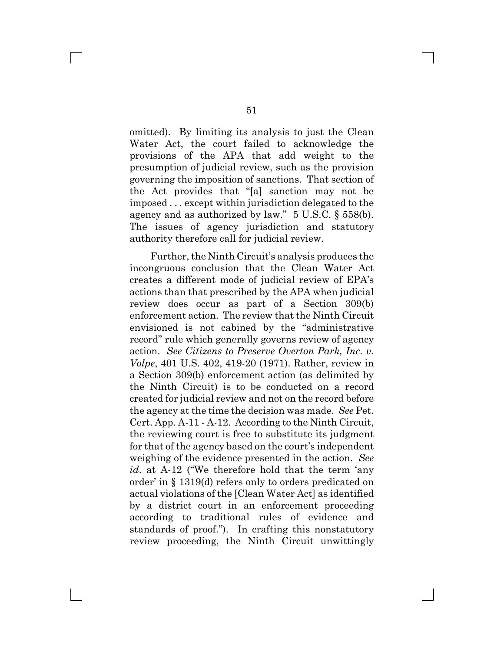omitted). By limiting its analysis to just the Clean Water Act, the court failed to acknowledge the provisions of the APA that add weight to the presumption of judicial review, such as the provision governing the imposition of sanctions. That section of the Act provides that "[a] sanction may not be imposed . . . except within jurisdiction delegated to the agency and as authorized by law." 5 U.S.C. § 558(b). The issues of agency jurisdiction and statutory authority therefore call for judicial review.

Further, the Ninth Circuit's analysis produces the incongruous conclusion that the Clean Water Act creates a different mode of judicial review of EPA's actions than that prescribed by the APA when judicial review does occur as part of a Section 309(b) enforcement action. The review that the Ninth Circuit envisioned is not cabined by the "administrative record" rule which generally governs review of agency action. *See Citizens to Preserve Overton Park, Inc. v. Volpe*, 401 U.S. 402, 419-20 (1971). Rather, review in a Section 309(b) enforcement action (as delimited by the Ninth Circuit) is to be conducted on a record created for judicial review and not on the record before the agency at the time the decision was made. *See* Pet. Cert. App. A-11 - A-12. According to the Ninth Circuit, the reviewing court is free to substitute its judgment for that of the agency based on the court's independent weighing of the evidence presented in the action. *See id*. at A-12 ("We therefore hold that the term 'any order' in § 1319(d) refers only to orders predicated on actual violations of the [Clean Water Act] as identified by a district court in an enforcement proceeding according to traditional rules of evidence and standards of proof."). In crafting this nonstatutory review proceeding, the Ninth Circuit unwittingly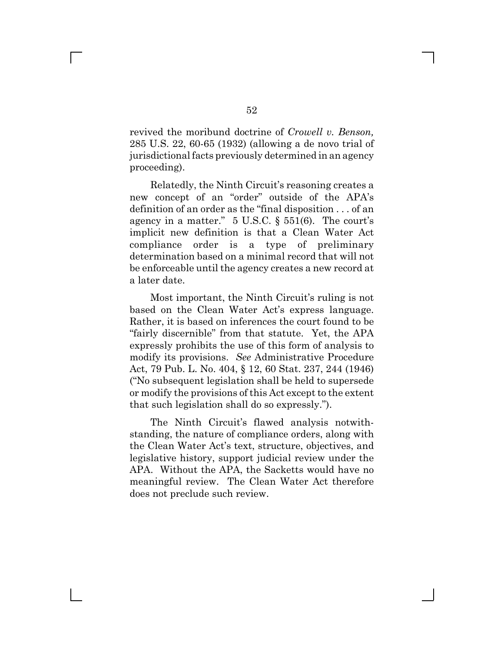revived the moribund doctrine of *Crowell v. Benson,* 285 U.S. 22, 60-65 (1932) (allowing a de novo trial of jurisdictional facts previously determined in an agency proceeding).

Relatedly, the Ninth Circuit's reasoning creates a new concept of an "order" outside of the APA's definition of an order as the "final disposition . . . of an agency in a matter."  $5 \text{ U.S.C.}$  §  $551(6)$ . The court's implicit new definition is that a Clean Water Act compliance order is a type of preliminary determination based on a minimal record that will not be enforceable until the agency creates a new record at a later date.

Most important, the Ninth Circuit's ruling is not based on the Clean Water Act's express language. Rather, it is based on inferences the court found to be "fairly discernible" from that statute. Yet, the APA expressly prohibits the use of this form of analysis to modify its provisions. *See* Administrative Procedure Act, 79 Pub. L. No. 404, § 12, 60 Stat. 237, 244 (1946) ("No subsequent legislation shall be held to supersede or modify the provisions of this Act except to the extent that such legislation shall do so expressly.").

The Ninth Circuit's flawed analysis notwithstanding, the nature of compliance orders, along with the Clean Water Act's text, structure, objectives, and legislative history, support judicial review under the APA. Without the APA, the Sacketts would have no meaningful review. The Clean Water Act therefore does not preclude such review.

 $\mathbb{R}^n$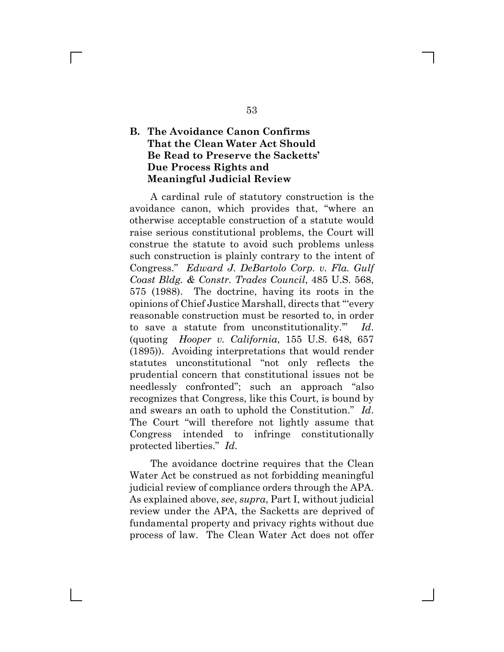## **B. The Avoidance Canon Confirms That the Clean Water Act Should Be Read to Preserve the Sacketts' Due Process Rights and Meaningful Judicial Review**

 $\mathbb{R}^n$ 

A cardinal rule of statutory construction is the avoidance canon, which provides that, "where an otherwise acceptable construction of a statute would raise serious constitutional problems, the Court will construe the statute to avoid such problems unless such construction is plainly contrary to the intent of Congress." *Edward J. DeBartolo Corp. v. Fla. Gulf Coast Bldg. & Constr. Trades Council*, 485 U.S. 568, 575 (1988). The doctrine, having its roots in the opinions of Chief Justice Marshall, directs that "'every reasonable construction must be resorted to, in order to save a statute from unconstitutionality.'" *Id*. (quoting *Hooper v. California*, 155 U.S. 648, 657 (1895)). Avoiding interpretations that would render statutes unconstitutional "not only reflects the prudential concern that constitutional issues not be needlessly confronted"; such an approach "also recognizes that Congress, like this Court, is bound by and swears an oath to uphold the Constitution." *Id*. The Court "will therefore not lightly assume that Congress intended to infringe constitutionally protected liberties." *Id*.

The avoidance doctrine requires that the Clean Water Act be construed as not forbidding meaningful judicial review of compliance orders through the APA. As explained above, *see*, *supra*, Part I, without judicial review under the APA, the Sacketts are deprived of fundamental property and privacy rights without due process of law. The Clean Water Act does not offer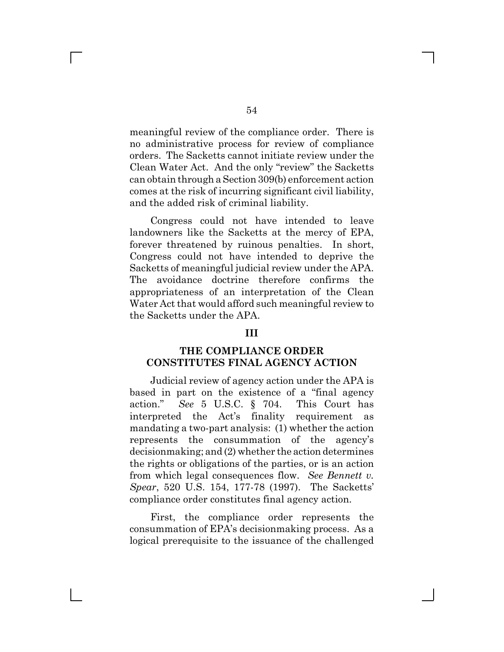meaningful review of the compliance order. There is no administrative process for review of compliance orders. The Sacketts cannot initiate review under the Clean Water Act. And the only "review" the Sacketts can obtain through a Section 309(b) enforcement action comes at the risk of incurring significant civil liability, and the added risk of criminal liability.

Congress could not have intended to leave landowners like the Sacketts at the mercy of EPA, forever threatened by ruinous penalties. In short, Congress could not have intended to deprive the Sacketts of meaningful judicial review under the APA. The avoidance doctrine therefore confirms the appropriateness of an interpretation of the Clean Water Act that would afford such meaningful review to the Sacketts under the APA.

#### **III**

#### **THE COMPLIANCE ORDER CONSTITUTES FINAL AGENCY ACTION**

Judicial review of agency action under the APA is based in part on the existence of a "final agency action." *See* 5 U.S.C. § 704. This Court has interpreted the Act's finality requirement as mandating a two-part analysis: (1) whether the action represents the consummation of the agency's decisionmaking; and (2) whether the action determines the rights or obligations of the parties, or is an action from which legal consequences flow. *See Bennett v. Spear*, 520 U.S. 154, 177-78 (1997). The Sacketts' compliance order constitutes final agency action.

First, the compliance order represents the consummation of EPA's decisionmaking process. As a logical prerequisite to the issuance of the challenged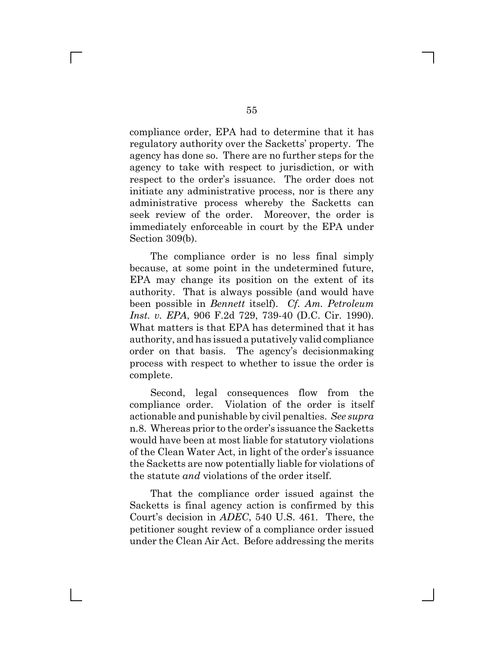compliance order, EPA had to determine that it has regulatory authority over the Sacketts' property. The agency has done so. There are no further steps for the agency to take with respect to jurisdiction, or with respect to the order's issuance. The order does not initiate any administrative process, nor is there any administrative process whereby the Sacketts can seek review of the order. Moreover, the order is immediately enforceable in court by the EPA under Section 309(b).

The compliance order is no less final simply because, at some point in the undetermined future, EPA may change its position on the extent of its authority. That is always possible (and would have been possible in *Bennett* itself). *Cf. Am. Petroleum Inst. v. EPA*, 906 F.2d 729, 739-40 (D.C. Cir. 1990). What matters is that EPA has determined that it has authority, and has issued a putatively valid compliance order on that basis. The agency's decisionmaking process with respect to whether to issue the order is complete.

Second, legal consequences flow from the compliance order. Violation of the order is itself actionable and punishable by civil penalties. *See supra* n.8. Whereas prior to the order's issuance the Sacketts would have been at most liable for statutory violations of the Clean Water Act, in light of the order's issuance the Sacketts are now potentially liable for violations of the statute *and* violations of the order itself.

That the compliance order issued against the Sacketts is final agency action is confirmed by this Court's decision in *ADEC*, 540 U.S. 461. There, the petitioner sought review of a compliance order issued under the Clean Air Act. Before addressing the merits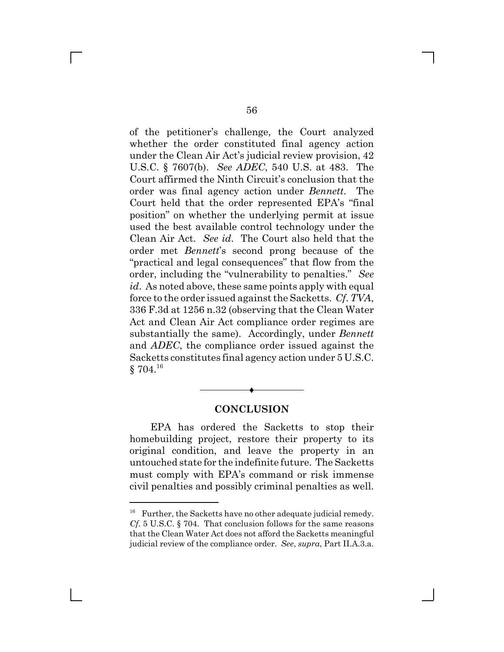of the petitioner's challenge, the Court analyzed whether the order constituted final agency action under the Clean Air Act's judicial review provision, 42 U.S.C. § 7607(b). *See ADEC*, 540 U.S. at 483. The Court affirmed the Ninth Circuit's conclusion that the order was final agency action under *Bennett*. The Court held that the order represented EPA's "final position" on whether the underlying permit at issue used the best available control technology under the Clean Air Act. *See id*. The Court also held that the order met *Bennett*'s second prong because of the "practical and legal consequences" that flow from the order, including the "vulnerability to penalties." *See id*. As noted above, these same points apply with equal force to the order issued against the Sacketts. *Cf*. *TVA*, 336 F.3d at 1256 n.32 (observing that the Clean Water Act and Clean Air Act compliance order regimes are substantially the same). Accordingly, under *Bennett* and *ADEC*, the compliance order issued against the Sacketts constitutes final agency action under 5 U.S.C.  $§ 704.<sup>16</sup>$ 

### **CONCLUSION**

Ë

EPA has ordered the Sacketts to stop their homebuilding project, restore their property to its original condition, and leave the property in an untouched state for the indefinite future. The Sacketts must comply with EPA's command or risk immense civil penalties and possibly criminal penalties as well.

 $16$  Further, the Sacketts have no other adequate judicial remedy. *Cf*. 5 U.S.C. § 704. That conclusion follows for the same reasons that the Clean Water Act does not afford the Sacketts meaningful judicial review of the compliance order. *See*, *supra*, Part II.A.3.a.